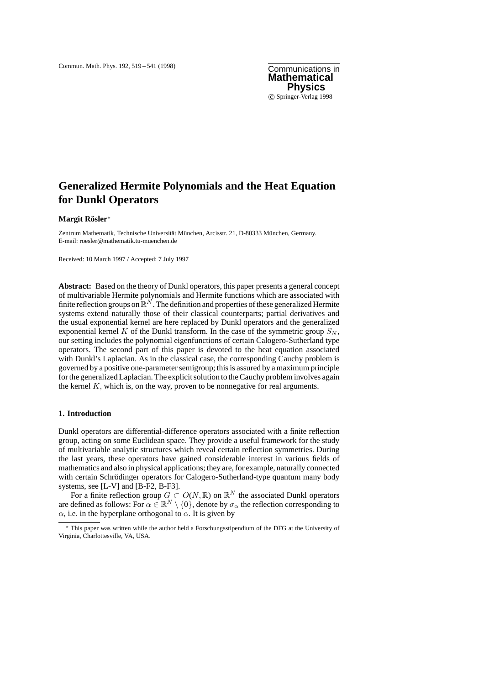**Mathematical Physics** c Springer-Verlag 1998

# **Generalized Hermite Polynomials and the Heat Equation for Dunkl Operators**

#### $M$ argit Rösler<sup>\*</sup>

Zentrum Mathematik, Technische Universität München, Arcisstr. 21, D-80333 München, Germany. E-mail: roesler@mathematik.tu-muenchen.de

Received: 10 March 1997 / Accepted: 7 July 1997

**Abstract:** Based on the theory of Dunkl operators, this paper presents a general concept of multivariable Hermite polynomials and Hermite functions which are associated with finite reflection groups on  $\mathbb{R}^N$ . The definition and properties of these generalized Hermite systems extend naturally those of their classical counterparts; partial derivatives and the usual exponential kernel are here replaced by Dunkl operators and the generalized exponential kernel K of the Dunkl transform. In the case of the symmetric group  $S_N$ , our setting includes the polynomial eigenfunctions of certain Calogero-Sutherland type operators. The second part of this paper is devoted to the heat equation associated with Dunkl's Laplacian. As in the classical case, the corresponding Cauchy problem is governed by a positive one-parameter semigroup; this is assured by a maximum principle for the generalized Laplacian. The explicit solution to the Cauchy problem involves again the kernel  $K$ , which is, on the way, proven to be nonnegative for real arguments.

## **1. Introduction**

Dunkl operators are differential-difference operators associated with a finite reflection group, acting on some Euclidean space. They provide a useful framework for the study of multivariable analytic structures which reveal certain reflection symmetries. During the last years, these operators have gained considerable interest in various fields of mathematics and also in physical applications; they are, for example, naturally connected with certain Schrödinger operators for Calogero-Sutherland-type quantum many body systems, see [L-V] and [B-F2, B-F3].

For a finite reflection group  $G \subset O(N, \mathbb{R})$  on  $\mathbb{R}^N$  the associated Dunkl operators are defined as follows: For  $\alpha \in \mathbb{R}^N \setminus \{0\}$ , denote by  $\sigma_\alpha$  the reflection corresponding to  $\alpha$ , i.e. in the hyperplane orthogonal to  $\alpha$ . It is given by

<sup>?</sup> This paper was written while the author held a Forschungsstipendium of the DFG at the University of Virginia, Charlottesville, VA, USA.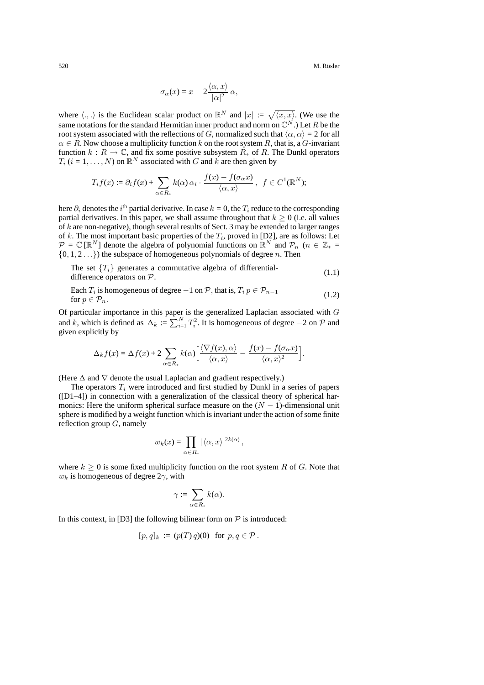520 M. Rösler ö

$$
\sigma_{\alpha}(x) = x - 2 \frac{\langle \alpha, x \rangle}{|\alpha|^2} \alpha,
$$

where  $\langle ., . \rangle$  is the Euclidean scalar product on  $\mathbb{R}^N$  and  $|x| := \sqrt{\langle x, x \rangle}$ . (We use the same notations for the standard Hermitian inner product and norm on  $\mathbb{C}^N$ .) Let R be the root system associated with the reflections of G, normalized such that  $\langle \alpha, \alpha \rangle = 2$  for all  $\alpha \in R$ . Now choose a multiplicity function k on the root system R, that is, a G-invariant function  $k : R \to \mathbb{C}$ , and fix some positive subsystem  $R_+$  of R. The Dunkl operators  $T_i$  ( $i = 1, \ldots, N$ ) on  $\mathbb{R}^N$  associated with G and k are then given by

$$
T_i f(x) := \partial_i f(x) + \sum_{\alpha \in R_+} k(\alpha) \alpha_i \cdot \frac{f(x) - f(\sigma_\alpha x)}{\langle \alpha, x \rangle}, \ f \in C^1(\mathbb{R}^N);
$$

here  $\partial_i$  denotes the  $i^{\text{th}}$  partial derivative. In case  $k = 0$ , the  $T_i$  reduce to the corresponding partial derivatives. In this paper, we shall assume throughout that  $k \geq 0$  (i.e. all values of  $k$  are non-negative), though several results of Sect. 3 may be extended to larger ranges of k. The most important basic properties of the T*i*, proved in [D2], are as follows: Let  $P = \mathbb{C}[\mathbb{R}^N]$  denote the algebra of polynomial functions on  $\mathbb{R}^N$  and  $P_n$  ( $n \in \mathbb{Z}_+$  =  $\{0, 1, 2...\}$  the subspace of homogeneous polynomials of degree *n*. Then

The set  ${T<sub>i</sub>}$  generates a commutative algebra of differential-<br>difference operators on *P*. (1.1)

Each  $T_i$  is homogeneous of degree  $-1$  on  $\mathcal{P}$ , that is,  $T_i p \in \mathcal{P}_{n-1}$  (1.2) for  $p \in \mathcal{P}_n$ .

Of particular importance in this paper is the generalized Laplacian associated with G and k, which is defined as  $\Delta_k := \sum_{i=1}^N T_i^2$ . It is homogeneous of degree  $-2$  on  $P$  and given explicitly by

$$
\Delta_k f(x) = \Delta f(x) + 2 \sum_{\alpha \in R_+} k(\alpha) \left[ \frac{\langle \nabla f(x), \alpha \rangle}{\langle \alpha, x \rangle} - \frac{f(x) - f(\sigma_\alpha x)}{\langle \alpha, x \rangle^2} \right].
$$

(Here  $\Delta$  and  $\nabla$  denote the usual Laplacian and gradient respectively.)

The operators T*<sup>i</sup>* were introduced and first studied by Dunkl in a series of papers ([D1–4]) in connection with a generalization of the classical theory of spherical harmonics: Here the uniform spherical surface measure on the (N *−* 1)-dimensional unit sphere is modified by a weight function which is invariant under the action of some finite reflection group  $G$ , namely

$$
w_k(x) = \prod_{\alpha \in R_+} |\langle \alpha, x \rangle|^{2k(\alpha)},
$$

where  $k \geq 0$  is some fixed multiplicity function on the root system R of G. Note that  $w_k$  is homogeneous of degree  $2\gamma$ , with

$$
\gamma:=\sum_{\alpha\in R_+}k(\alpha).
$$

In this context, in [D3] the following bilinear form on  $P$  is introduced:

$$
[p,q]_k := (p(T) q)(0) \text{ for } p, q \in \mathcal{P}.
$$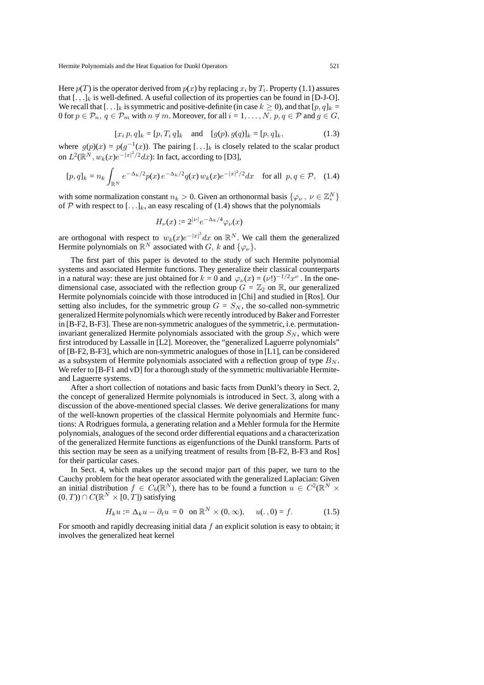Here  $p(T)$  is the operator derived from  $p(x)$  by replacing  $x_i$  by  $T_i$ . Property (1.1) assures that  $[.,.]_k$  is well-defined. A useful collection of its properties can be found in [D-J-O]. We recall that  $[.,.]_k$  is symmetric and positive-definite (in case  $k \ge 0$ ), and that  $[p, q]_k =$ 0 for  $p \in \mathcal{P}_n$ ,  $q \in \mathcal{P}_m$  with  $n \neq m$ . Moreover, for all  $i = 1, ..., N$ ,  $p, q \in \mathcal{P}$  and  $g \in G$ ,

$$
[x_i p, q]_k = [p, T_i q]_k \text{ and } [g(p), g(q)]_k = [p, q]_k, \tag{1.3}
$$

where  $g(p)(x) = p(q^{-1}(x))$ . The pairing [.,.]<sub>k</sub> is closely related to the scalar product on  $L^2(\mathbb{R}^N, w_k(x)e^{-|x|^2/2}dx)$ : In fact, according to [D3],

$$
[p,q]_k = n_k \int_{\mathbb{R}^N} e^{-\Delta_k/2} p(x) e^{-\Delta_k/2} q(x) w_k(x) e^{-|x|^2/2} dx \quad \text{for all } p, q \in \mathcal{P}, \quad (1.4)
$$

with some normalization constant  $n_k > 0$ . Given an orthonormal basis  $\{\varphi_\nu, \nu \in \mathbb{Z}_{+}^N\}$ of  $P$  with respect to  $[.,.]_k$ , an easy rescaling of (1.4) shows that the polynomials

$$
H_{\nu}(x) := 2^{|\nu|} e^{-\Delta_k/4} \varphi_{\nu}(x)
$$

are orthogonal with respect to  $w_k(x)e^{-|x|^2}dx$  on  $\mathbb{R}^N$ . We call them the generalized Hermite polynomials on  $\mathbb{R}^N$  associated with  $G$ ,  $k$  and  $\{\varphi_k\}$ .

The first part of this paper is devoted to the study of such Hermite polynomial systems and associated Hermite functions. They generalize their classical counterparts in a natural way: these are just obtained for  $k = 0$  and  $\varphi_{\nu}(x) = (\nu!)^{-1/2}x^{\nu}$ . In the onedimensional case, associated with the reflection group  $G = \mathbb{Z}_2$  on  $\mathbb{R}$ , our generalized Hermite polynomials coincide with those introduced in [Chi] and studied in [Ros]. Our setting also includes, for the symmetric group  $G = S_N$ , the so-called non-symmetric generalized Hermite polynomials which were recently introduced by Baker and Forrester in [B-F2, B-F3]. These are non-symmetric analogues of the symmetric, i.e. permutationinvariant generalized Hermite polynomials associated with the group  $S_N$ , which were first introduced by Lassalle in [L2]. Moreover, the "generalized Laguerre polynomials" of [B-F2, B-F3], which are non-symmetric analogues of those in [L1], can be considered as a subsystem of Hermite polynomials associated with a reflection group of type  $B_N$ . We refer to [B-F1 and vD] for a thorough study of the symmetric multivariable Hermiteand Laguerre systems.

After a short collection of notations and basic facts from Dunkl's theory in Sect. 2, the concept of generalized Hermite polynomials is introduced in Sect. 3, along with a discussion of the above-mentioned special classes. We derive generalizations for many of the well-known properties of the classical Hermite polynomials and Hermite functions: A Rodrigues formula, a generating relation and a Mehler formula for the Hermite polynomials, analogues of the second order differential equations and a characterization of the generalized Hermite functions as eigenfunctions of the Dunkl transform. Parts of this section may be seen as a unifying treatment of results from [B-F2, B-F3 and Ros] for their particular cases.

In Sect. 4, which makes up the second major part of this paper, we turn to the Cauchy problem for the heat operator associated with the generalized Laplacian: Given an initial distribution  $f \in C_b(\mathbb{R}^N)$ , there has to be found a function  $u \in C^2(\mathbb{R}^N \times$  $(0, T)$ ) ∩  $C(\mathbb{R}^N \times [0, T])$  satisfying

$$
H_k u := \Delta_k u - \partial_t u = 0 \quad \text{on } \mathbb{R}^N \times (0, \infty), \qquad u(. , 0) = f. \tag{1.5}
$$

For smooth and rapidly decreasing initial data  $f$  an explicit solution is easy to obtain; it involves the generalized heat kernel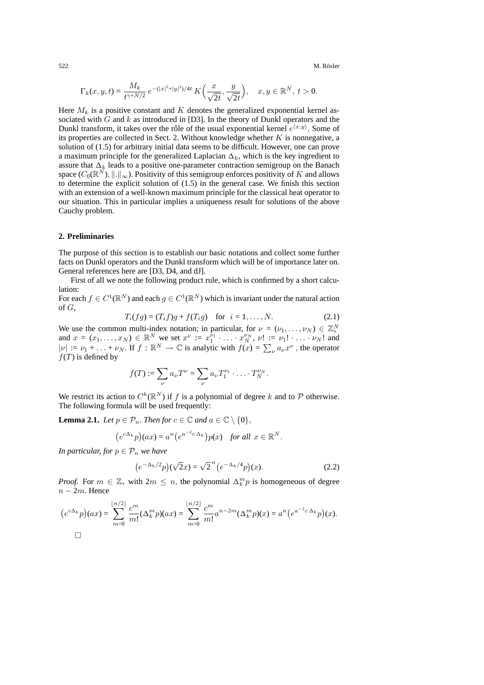$$
\Gamma_k(x, y, t) = \frac{M_k}{t^{\gamma + N/2}} e^{-(|x|^2 + |y|^2)/4t} K\left(\frac{x}{\sqrt{2t}}, \frac{y}{\sqrt{2t}}\right), \quad x, y \in \mathbb{R}^N, t > 0.
$$

Here  $M_k$  is a positive constant and K denotes the generalized exponential kernel associated with  $G$  and  $k$  as introduced in [D3]. In the theory of Dunkl operators and the Dunkl transform, it takes over the rôle of the usual exponential kernel  $e^{\langle x,y\rangle}$ . Some of its properties are collected in Sect. 2. Without knowledge whether  $K$  is nonnegative, a solution of (1.5) for arbitrary initial data seems to be difficult. However, one can prove a maximum principle for the generalized Laplacian  $\Delta_k$ , which is the key ingredient to assure that  $\Delta_k$  leads to a positive one-parameter contraction semigroup on the Banach space  $(C_0(\mathbb{R}^N), \|.\|_{\infty})$ . Positivity of this semigroup enforces positivity of K and allows to determine the explicit solution of (1.5) in the general case. We finish this section with an extension of a well-known maximum principle for the classical heat operator to our situation. This in particular implies a uniqueness result for solutions of the above Cauchy problem.

# **2. Preliminaries**

The purpose of this section is to establish our basic notations and collect some further facts on Dunkl operators and the Dunkl transform which will be of importance later on. General references here are [D3, D4, and dJ].

First of all we note the following product rule, which is confirmed by a short calculation:

For each  $f \in C^1(\mathbb{R}^N)$  and each  $g \in C^1(\mathbb{R}^N)$  which is invariant under the natural action of  $G$ ,

$$
T_i(fg) = (T_i f)g + f(T_i g) \text{ for } i = 1, ..., N. \tag{2.1}
$$

We use the common multi-index notation; in particular, for  $\nu = (\nu_1, \dots, \nu_N) \in \mathbb{Z}_+^N$ and  $x = (x_1, ..., x_N) \in \mathbb{R}^N$  we set  $x^{\nu} := x_1^{\nu_1} \cdot ... \cdot x_N^{\nu_N}$ ,  $\nu! := \nu_1! \cdot ... \cdot \nu_N!$  and  $|\nu| := \nu_1 + \ldots + \nu_N$ . If  $f : \mathbb{R}^N \to \mathbb{C}$  is analytic with  $f(x) = \sum_{\nu} a_{\nu} x^{\nu}$ , the operator  $f(T)$  is defined by

$$
f(T) := \sum_{\nu} a_{\nu} T^{\nu} = \sum_{\nu} a_{\nu} T_1^{\nu_1} \cdot \ldots \cdot T_N^{\nu_N}.
$$

We restrict its action to  $C^k(\mathbb{R}^N)$  if f is a polynomial of degree k and to P otherwise. The following formula will be used frequently:

**Lemma 2.1.** *Let*  $p \in \mathcal{P}_n$ *. Then for*  $c \in \mathbb{C}$  *and*  $a \in \mathbb{C} \setminus \{0\}$ *,* 

$$
(e^{c\Delta_k}p)(ax) = a^n(e^{a^{-2}c\Delta_k})p(x)
$$
 for all  $x \in \mathbb{R}^N$ .

*In particular, for*  $p \in \mathcal{P}_n$  *we have* 

$$
(e^{-\Delta_k/2}p)(\sqrt{2}x) = \sqrt{2}^n(e^{-\Delta_k/4}p)(x).
$$
 (2.2)

*Proof.* For  $m \in \mathbb{Z}_+$  with  $2m \leq n$ , the polynomial  $\Delta_k^m p$  is homogeneous of degree n *−* 2m. Hence

$$
(e^{c\Delta_k}p)(ax) = \sum_{m=0}^{\lfloor n/2 \rfloor} \frac{c^m}{m!} (\Delta_k^m p)(ax) = \sum_{m=0}^{\lfloor n/2 \rfloor} \frac{c^m}{m!} a^{n-2m} (\Delta_k^m p)(x) = a^n (e^{a^{-2}c\Delta_k}p)(x).
$$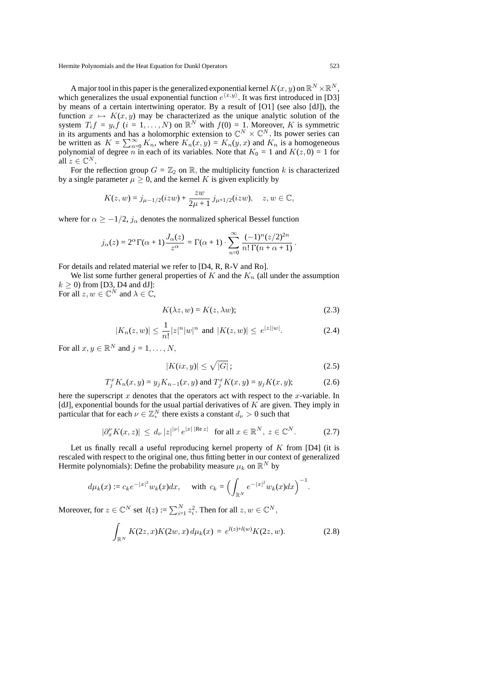A major tool in this paper is the generalized exponential kernel  $K(x, y)$  on  $\mathbb{R}^N \times \mathbb{R}^N$ , which generalizes the usual exponential function  $e^{\langle x,y\rangle}$ . It was first introduced in [D3] by means of a certain intertwining operator. By a result of [O1] (see also [dJ]), the function  $x \mapsto K(x, y)$  may be characterized as the unique analytic solution of the system  $T_i f = y_i f$   $(i = 1, ..., N)$  on  $\mathbb{R}^N$  with  $f(0) = 1$ . Moreover, K is symmetric in its arguments and has a holomorphic extension to  $\mathbb{C}^N \times \mathbb{C}^N$ . Its power series can be written as  $K = \sum_{n=0}^{\infty} K_n$ , where  $K_n(x, y) = K_n(y, x)$  and  $K_n$  is a homogeneous polynomial of degree *n* in each of its variables. Note that  $K_0 = 1$  and  $K(z, 0) = 1$  for all  $z \in \mathbb{C}^N$ .

For the reflection group  $G = \mathbb{Z}_2$  on  $\mathbb{R}$ , the multiplicity function k is characterized by a single parameter  $\mu \geq 0$ , and the kernel K is given explicitly by

$$
K(z, w) = j_{\mu - 1/2}(izw) + \frac{zw}{2\mu + 1} j_{\mu + 1/2}(izw), \quad z, w \in \mathbb{C},
$$

where for  $\alpha \ge -1/2$ ,  $j_{\alpha}$  denotes the normalized spherical Bessel function

$$
j_{\alpha}(z) = 2^{\alpha} \Gamma(\alpha + 1) \frac{J_{\alpha}(z)}{z^{\alpha}} = \Gamma(\alpha + 1) \cdot \sum_{n=0}^{\infty} \frac{(-1)^n (z/2)^{2n}}{n! \Gamma(n + \alpha + 1)}.
$$

For details and related material we refer to [D4, R, R-V and Ro].

We list some further general properties of  $K$  and the  $K_n$  (all under the assumption  $k \geq 0$ ) from [D3, D4 and dJ]:

For all  $z, w \in \mathbb{C}^N$  and  $\lambda \in \mathbb{C}$ ,

$$
K(\lambda z, w) = K(z, \lambda w); \tag{2.3}
$$

$$
|K_n(z, w)| \le \frac{1}{n!} |z|^n |w|^n \text{ and } |K(z, w)| \le e^{|z||w|}.
$$
 (2.4)

For all  $x, y \in \mathbb{R}^N$  and  $j = 1, ..., N$ ,

$$
|K(ix, y)| \le \sqrt{|G|} \, ; \tag{2.5}
$$

$$
T_j^x K_n(x, y) = y_j K_{n-1}(x, y) \text{ and } T_j^x K(x, y) = y_j K(x, y); \tag{2.6}
$$

here the superscript  $x$  denotes that the operators act with respect to the  $x$ -variable. In [dJ], exponential bounds for the usual partial derivatives of  $K$  are given. They imply in particular that for each  $\nu \in \mathbb{Z}_{+}^{N}$  there exists a constant  $d_{\nu} > 0$  such that

$$
|\partial_x^{\nu} K(x, z)| \leq d_{\nu} |z|^{\nu} |e^{|x| |\text{Re } z|} \quad \text{for all } x \in \mathbb{R}^N, \ z \in \mathbb{C}^N. \tag{2.7}
$$

Let us finally recall a useful reproducing kernel property of  $K$  from [D4] (it is rescaled with respect to the original one, thus fitting better in our context of generalized Hermite polynomials): Define the probability measure  $\mu_k$  on  $\mathbb{R}^N$  by

$$
d\mu_k(x) := c_k e^{-|x|^2} w_k(x) dx, \quad \text{ with } c_k = \Bigl(\int_{\mathbb{R}^N} e^{-|x|^2} w_k(x) dx\Bigr)^{-1}.
$$

Moreover, for  $z \in \mathbb{C}^N$  set  $l(z) := \sum_{i=1}^N z_i^2$ . Then for all  $z, w \in \mathbb{C}^N$ ,

$$
\int_{\mathbb{R}^N} K(2z, x) K(2w, x) d\mu_k(x) = e^{l(z) + l(w)} K(2z, w).
$$
 (2.8)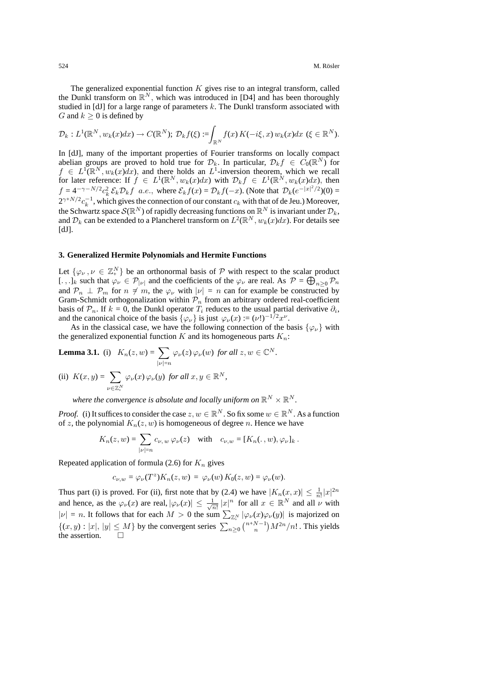The generalized exponential function  $K$  gives rise to an integral transform, called the Dunkl transform on  $\mathbb{R}^N$ , which was introduced in [D4] and has been thoroughly studied in [dJ] for a large range of parameters  $k$ . The Dunkl transform associated with *G* and  $k \geq 0$  is defined by

$$
\mathcal{D}_k: L^1(\mathbb{R}^N, w_k(x)dx) \to C(\mathbb{R}^N); \ \mathcal{D}_kf(\xi) := \int_{\mathbb{R}^N} f(x) K(-i\xi, x) w_k(x)dx \ (\xi \in \mathbb{R}^N).
$$

In [dJ], many of the important properties of Fourier transforms on locally compact abelian groups are proved to hold true for  $\mathcal{D}_k$ . In particular,  $\mathcal{D}_k f \in C_0(\mathbb{R}^N)$  for  $f \in L^1(\mathbb{R}^N, w_k(x)dx)$ , and there holds an  $L^1$ -inversion theorem, which we recall for later reference: If  $f \in L^1(\mathbb{R}^N, w_k(x)dx)$  with  $\mathcal{D}_k f \in L^1(\mathbb{R}^N, w_k(x)dx)$ , then  $f = 4^{-\gamma - N/2} c_k^2 \mathcal{E}_k \mathcal{D}_k f$  a.e., where  $\mathcal{E}_k f(x) = \mathcal{D}_k f(-x)$ . (Note that  $\mathcal{D}_k (e^{-|x|^2/2})(0) =$  $2^{\gamma+N/2}c_k^{-1}$ , which gives the connection of our constant  $c_k$  with that of de Jeu.) Moreover, the Schwartz space  $\mathcal{S}(\mathbb{R}^N)$  of rapidly decreasing functions on  $\mathbb{R}^N$  is invariant under  $\mathcal{D}_k$ , and  $\mathcal{D}_k$  can be extended to a Plancherel transform on  $L^2(\mathbb{R}^N, w_k(x)dx)$ . For details see  $[dJ]$ .

### **3. Generalized Hermite Polynomials and Hermite Functions**

Let  $\{\varphi_{\nu}, \nu \in \mathbb{Z}_{+}^{N}\}\$  be an orthonormal basis of  $P$  with respect to the scalar product [.,.]<sub>*k*</sub> such that  $\varphi_{\nu} \in \mathcal{P}_{|\nu|}$  and the coefficients of the  $\varphi_{\nu}$  are real. As  $\mathcal{P} = \bigoplus_{n \geq 0} \mathcal{P}_n$ and  $\mathcal{P}_n \perp \mathcal{P}_m$  for  $n \neq m$ , the  $\varphi_\nu$  with  $|\nu| = n$  can for example be constructed by Gram-Schmidt orthogonalization within  $P_n$  from an arbitrary ordered real-coefficient basis of  $P_n$ . If  $k = 0$ , the Dunkl operator  $T_i$  reduces to the usual partial derivative  $\partial_i$ , and the canonical choice of the basis  $\{\varphi_{\nu}\}\$ is just  $\varphi_{\nu}(x) := (\nu!)^{-1/2}x^{\nu}$ .

As in the classical case, we have the following connection of the basis  $\{\varphi_{\nu}\}\$  with the generalized exponential function  $K$  and its homogeneous parts  $K_n$ :

**Lemma 3.1.** (i) 
$$
K_n(z, w) = \sum_{|\nu|=n} \varphi_{\nu}(z) \varphi_{\nu}(w)
$$
 for all  $z, w \in \mathbb{C}^N$ .  
\n(ii)  $K(x, y) = \sum_{\nu \in \mathbb{Z}_+^N} \varphi_{\nu}(x) \varphi_{\nu}(y)$  for all  $x, y \in \mathbb{R}^N$ ,

*where the convergence is absolute and locally uniform on*  $\mathbb{R}^N \times \mathbb{R}^N$ .

*Proof.* (i) It suffices to consider the case  $z, w \in \mathbb{R}^N$ . So fix some  $w \in \mathbb{R}^N$ . As a function of z, the polynomial  $K_n(z, w)$  is homogeneous of degree n. Hence we have

$$
K_n(z, w) = \sum_{|\nu|=n} c_{\nu, w} \varphi_{\nu}(z) \quad \text{with} \quad c_{\nu, w} = [K_n(\cdot, w), \varphi_{\nu}]_k.
$$

Repeated application of formula  $(2.6)$  for  $K_n$  gives

$$
c_{\nu,w} = \varphi_{\nu}(T^z)K_n(z,w) = \varphi_{\nu}(w)K_0(z,w) = \varphi_{\nu}(w).
$$

Thus part (i) is proved. For (ii), first note that by (2.4) we have  $|K_n(x, x)| \leq \frac{1}{n!}|x|^{2n}$ and hence, as the  $\varphi_{\nu}(x)$  are real,  $|\varphi_{\nu}(x)| \leq \frac{1}{\sqrt{n!}} |x|^n$  for all  $x \in \mathbb{R}^N$  and all  $\nu$  with  $|\nu| = n$ . It follows that for each  $M > 0$  the sum  $\sum_{\mathbb{Z}_+^N} |\varphi_{\nu}(x)\varphi_{\nu}(y)|$  is majorized on  $\{(x, y) : |x|, |y| \le M\}$  by the convergent series  $\sum_{n\ge 0} {n+N-1 \choose n} M^{2n}/n!$ . This yields the assertion.  $\Box$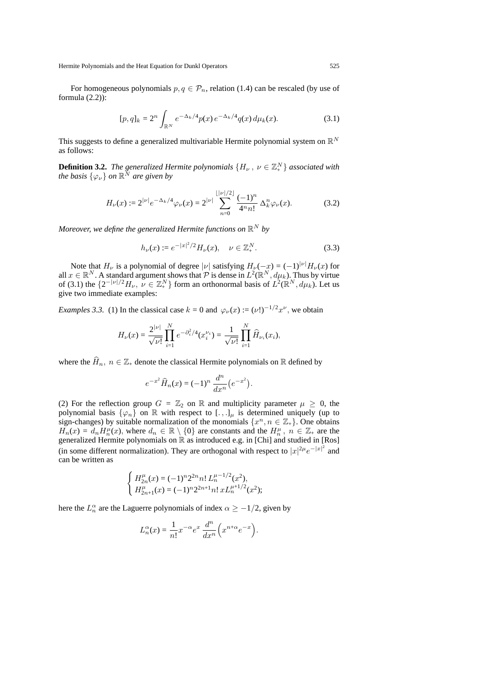For homogeneous polynomials  $p, q \in \mathcal{P}_n$ , relation (1.4) can be rescaled (by use of formula (2.2)):

$$
[p,q]_k = 2^n \int_{\mathbb{R}^N} e^{-\Delta_k/4} p(x) e^{-\Delta_k/4} q(x) d\mu_k(x).
$$
 (3.1)

This suggests to define a generalized multivariable Hermite polynomial system on R*<sup>N</sup>* as follows:

**Definition 3.2.** *The generalized Hermite polynomials*  $\{H_\nu$  ,  $\nu\in\mathbb{Z}_+^N\}$  associated with *the basis*  $\{\varphi_{\nu}\}$  *on*  $\mathbb{R}^N$  *are given by* 

$$
H_{\nu}(x) := 2^{|\nu|} e^{-\Delta_k/4} \varphi_{\nu}(x) = 2^{|\nu|} \sum_{n=0}^{[\nu]/2]} \frac{(-1)^n}{4^n n!} \Delta_k^n \varphi_{\nu}(x).
$$
 (3.2)

*Moreover, we define the generalized Hermite functions on*  $\mathbb{R}^N$  *by* 

$$
h_{\nu}(x) := e^{-|x|^2/2} H_{\nu}(x), \quad \nu \in \mathbb{Z}_{+}^{N}.
$$
 (3.3)

Note that  $H_{\nu}$  is a polynomial of degree  $|\nu|$  satisfying  $H_{\nu}(-x) = (-1)^{|\nu|} H_{\nu}(x)$  for all  $x \in \mathbb{R}^N$ . A standard argument shows that  $\mathcal P$  is dense in  $L^2(\mathbb{R}^N, d\mu_k)$ . Thus by virtue of (3.1) the  $\{2^{-|\nu|/2}H_{\nu}, \nu \in \mathbb{Z}_{+}^{N}\}$  form an orthonormal basis of  $L^{2}(\mathbb{R}^{N}, d\mu_{k})$ . Let us give two immediate examples:

*Examples 3.3.* (1) In the classical case  $k = 0$  and  $\varphi_{\nu}(x) := (\nu!)^{-1/2}x^{\nu}$ , we obtain

$$
H_{\nu}(x) = \frac{2^{|\nu|}}{\sqrt{\nu!}} \prod_{i=1}^{N} e^{-\partial_i^2/4} (x_i^{\nu_i}) = \frac{1}{\sqrt{\nu!}} \prod_{i=1}^{N} \widehat{H}_{\nu_i}(x_i),
$$

where the  $\widehat{H}_n$ ,  $n \in \mathbb{Z}_+$  denote the classical Hermite polynomials on R defined by

$$
e^{-x^2}\widehat{H}_n(x) = (-1)^n \frac{d^n}{dx^n} (e^{-x^2}).
$$

(2) For the reflection group  $G = \mathbb{Z}_2$  on  $\mathbb R$  and multiplicity parameter  $\mu \geq 0$ , the polynomial basis  $\{\varphi_n\}$  on  $\mathbb R$  with respect to  $[.\,,.]_\mu$  is determined uniquely (up to sign-changes) by suitable normalization of the monomials  $\{x^n, n \in \mathbb{Z}_+\}$ . One obtains  $H_n(x) = d_n H_n^{\mu}(x)$ , where  $d_n \in \mathbb{R} \setminus \{0\}$  are constants and the  $H_n^{\mu}$ ,  $n \in \mathbb{Z}_+$  are the generalized Hermite polynomials on R as introduced e.g. in [Chi] and studied in [Ros] (in some different normalization). They are orthogonal with respect to  $|x|^{2\mu}e^{-|x|^2}$  and can be written as

$$
\left\{ \begin{array}{l} H_{2n}^\mu(x) = (-1)^n 2^{2n} n! \, L_n^{\mu - 1/2}(x^2), \\ H_{2n+1}^\mu(x) = (-1)^n 2^{2n+1} n! \, x L_n^{\mu + 1/2}(x^2); \end{array} \right.
$$

here the  $L_n^{\alpha}$  are the Laguerre polynomials of index  $\alpha \geq -1/2$ , given by

$$
L_n^{\alpha}(x) = \frac{1}{n!} x^{-\alpha} e^x \frac{d^n}{dx^n} \left( x^{n+\alpha} e^{-x} \right).
$$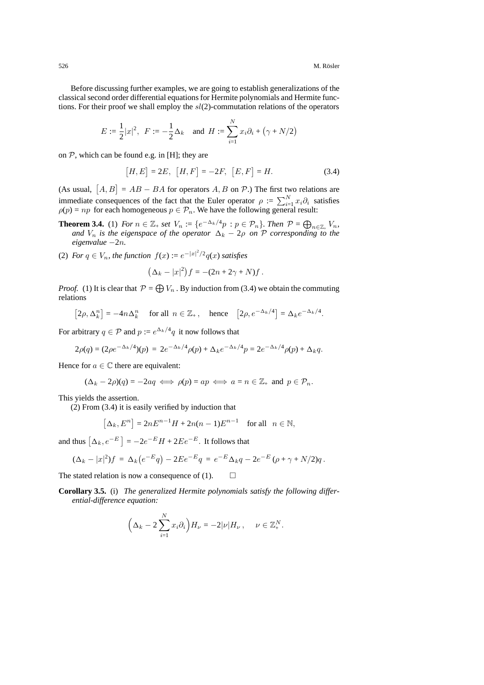Before discussing further examples, we are going to establish generalizations of the classical second order differential equations for Hermite polynomials and Hermite functions. For their proof we shall employ the  $sl(2)$ -commutation relations of the operators

$$
E := \frac{1}{2}|x|^2, \ \ F := -\frac{1}{2}\Delta_k \quad \text{and} \ \ H := \sum_{i=1}^N x_i \partial_i + (\gamma + N/2)
$$

on  $P$ , which can be found e.g. in [H]; they are

$$
[H, E] = 2E, [H, F] = -2F, [E, F] = H.
$$
 (3.4)

(As usual,  $[A, B] = AB - BA$  for operators A, B on  $P$ .) The first two relations are immediate consequences of the fact that the Euler operator  $\rho := \sum_{i=1}^{N} x_i \partial_i$  satisfies  $\rho(p) = np$  for each homogeneous  $p \in \mathcal{P}_n$ . We have the following general result:

- **Theorem 3.4.** (1) For  $n \in \mathbb{Z}_+$  set  $V_n := \{e^{-\Delta_k/4}p : p \in \mathcal{P}_n\}$ . Then  $\mathcal{P} = \bigoplus_{n \in \mathbb{Z}_+} V_n$ , and  $V_n$  is the eigenspace of the operator  $\Delta_k 2\rho$  on  $\mathcal{P}$  corresponding to the *eigenvalue −*2n*.*
- (2) *For*  $q \in V_n$ *, the function*  $f(x) := e^{-|x|^2/2}q(x)$  *satisfies*

$$
(\Delta_k - |x|^2) f = -(2n + 2\gamma + N) f.
$$

*Proof.* (1) It is clear that  $P = \bigoplus V_n$ . By induction from (3.4) we obtain the commuting relations

$$
[2\rho, \Delta_k^n] = -4n\Delta_k^n \quad \text{ for all } n \in \mathbb{Z}_+, \quad \text{hence} \quad [2\rho, e^{-\Delta_k/4}] = \Delta_k e^{-\Delta_k/4}.
$$

For arbitrary  $q \in \mathcal{P}$  and  $p := e^{\Delta_k/4}q$  it now follows that

$$
2\rho(q) = (2\rho e^{-\Delta_k/4})(p) = 2e^{-\Delta_k/4}\rho(p) + \Delta_k e^{-\Delta_k/4}p = 2e^{-\Delta_k/4}\rho(p) + \Delta_k q.
$$

Hence for  $a \in \mathbb{C}$  there are equivalent:

$$
(\Delta_k - 2\rho)(q) = -2aq \iff \rho(p) = ap \iff a = n \in \mathbb{Z}_+ \text{ and } p \in \mathcal{P}_n.
$$

This yields the assertion.

(2) From (3.4) it is easily verified by induction that

$$
[\Delta_k, E^n] = 2nE^{n-1}H + 2n(n-1)E^{n-1} \quad \text{for all} \quad n \in \mathbb{N},
$$

and thus  $[\Delta_k, e^{-E}] = -2e^{-E}H + 2Ee^{-E}$ . It follows that

$$
(\Delta_k - |x|^2)f = \Delta_k(e^{-E}q) - 2Ee^{-E}q = e^{-E}\Delta_k q - 2e^{-E}(\rho + \gamma + N/2)q.
$$

The stated relation is now a consequence of (1).  $\Box$ 

**Corollary 3.5.** (i) *The generalized Hermite polynomials satisfy the following differential-difference equation:*

$$
\left(\Delta_k - 2\sum_{i=1}^N x_i \partial_i\right) H_{\nu} = -2|\nu| H_{\nu}, \quad \nu \in \mathbb{Z}_+^N.
$$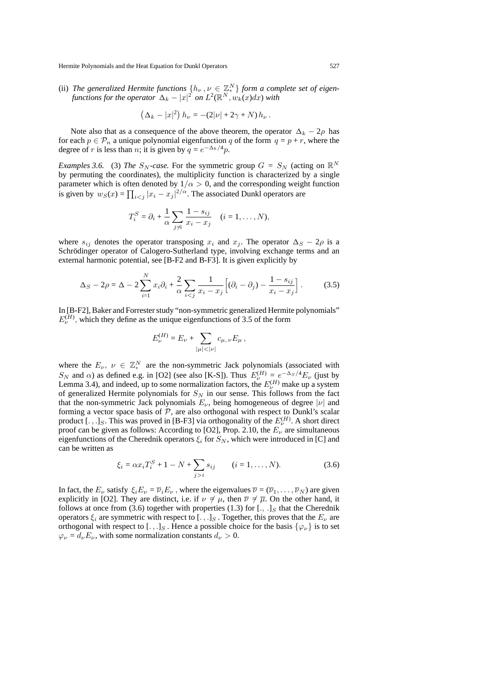(ii) *The generalized Hermite functions*  $\{h_{\nu}, \nu \in \mathbb{Z}_{+}^{N}\}$  *form a complete set of eigen* $f$ unctions for the operator  $|\Delta_k - |x|^2$  on  $L^2(\mathbb{R}^N,w_k(x)dx)$  with

$$
(\Delta_k - |x|^2) h_{\nu} = -(2|\nu| + 2\gamma + N) h_{\nu}.
$$

Note also that as a consequence of the above theorem, the operator  $\Delta_k - 2\rho$  has for each  $p \in \mathcal{P}_n$  a unique polynomial eigenfunction q of the form  $q = p + r$ , where the degree of r is less than n; it is given by  $q = e^{-\Delta_k/4}p$ .

*Examples 3.6.* (3) *The*  $S_N$ -case. For the symmetric group  $G = S_N$  (acting on  $\mathbb{R}^N$ by permuting the coordinates), the multiplicity function is characterized by a single parameter which is often denoted by  $1/\alpha > 0$ , and the corresponding weight function is given by  $w_S(x) = \prod_{i < j} |x_i - x_j|^{2/\alpha}$ . The associated Dunkl operators are

$$
T_i^S = \partial_i + \frac{1}{\alpha} \sum_{j \neq i} \frac{1 - s_{ij}}{x_i - x_j} \quad (i = 1, \dots, N),
$$

where  $s_{ij}$  denotes the operator transposing  $x_i$  and  $x_j$ . The operator  $\Delta_S - 2\rho$  is a Schrödinger operator of Calogero-Sutherland type, involving exchange terms and an external harmonic potential, see [B-F2 and B-F3]. It is given explicitly by

$$
\Delta_S - 2\rho = \Delta - 2\sum_{i=1}^N x_i \partial_i + \frac{2}{\alpha} \sum_{i < j} \frac{1}{x_i - x_j} \Big[ (\partial_i - \partial_j) - \frac{1 - s_{ij}}{x_i - x_j} \Big]. \tag{3.5}
$$

In [B-F2], Baker and Forrester study "non-symmetric generalized Hermite polynomials"  $E_{\nu}^{(H)}$ , which they define as the unique eigenfunctions of 3.5 of the form

$$
E_{\nu}^{(H)} = E_{\nu} + \sum_{|\mu| < |\nu|} c_{\mu,\nu} E_{\mu},
$$

where the  $E_{\nu}$ ,  $\nu \in \mathbb{Z}_{+}^{N}$  are the non-symmetric Jack polynomials (associated with S<sub>N</sub> and α) as defined e.g. in [O2] (see also [K-S]). Thus  $E_{\nu}^{(H)} = e^{-\Delta_S/4}E_{\nu}$  (just by Lemma 3.4), and indeed, up to some normalization factors, the  $E_{\nu}^{(H)}$  make up a system of generalized Hermite polynomials for  $S_N$  in our sense. This follows from the fact that the non-symmetric Jack polynomials  $E_{\nu}$ , being homogeneous of degree  $|\nu|$  and forming a vector space basis of *P*, are also orthogonal with respect to Dunkl's scalar product [.,.]<sub>*S*</sub>. This was proved in [B-F3] via orthogonality of the  $E_{\nu}^{(H)}$ . A short direct proof can be given as follows: According to [O2], Prop. 2.10, the E*<sup>ν</sup>* are simultaneous eigenfunctions of the Cherednik operators  $\xi_i$  for  $S_N$ , which were introduced in [C] and can be written as

$$
\xi_i = \alpha x_i T_i^S + 1 - N + \sum_{j>i} s_{ij} \qquad (i = 1, ..., N). \tag{3.6}
$$

In fact, the  $E_\nu$  satisfy  $\xi_i E_\nu = \overline{\nu}_i E_\nu$ , where the eigenvalues  $\overline{\nu} = (\overline{\nu}_1, \dots, \overline{\nu}_N)$  are given explicitly in [O2]. They are distinct, i.e. if  $\nu \neq \mu$ , then  $\overline{\nu} \neq \overline{\mu}$ . On the other hand, it follows at once from (3.6) together with properties (1.3) for [., .]*<sup>S</sup>* that the Cherednik operators ξ*<sup>i</sup>* are symmetric with respect to [.,.]*<sup>S</sup>* . Together, this proves that the E*<sup>ν</sup>* are orthogonal with respect to [.,.]<sub>S</sub>. Hence a possible choice for the basis  $\{\varphi_{\nu}\}\$ is to set  $\varphi_{\nu} = d_{\nu} E_{\nu}$ , with some normalization constants  $d_{\nu} > 0$ .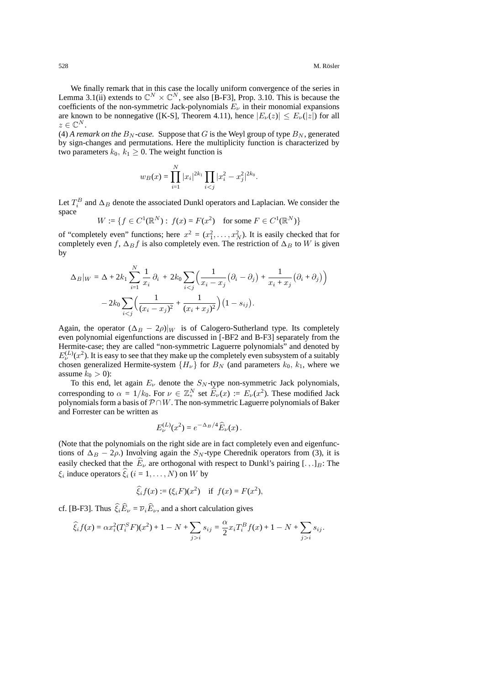We finally remark that in this case the locally uniform convergence of the series in Lemma 3.1(ii) extends to  $\mathbb{C}^N \times \mathbb{C}^N$ , see also [B-F3], Prop. 3.10. This is because the coefficients of the non-symmetric Jack-polynomials  $E_{\nu}$  in their monomial expansions are known to be nonnegative ([K-S], Theorem 4.11), hence  $|E_{\nu}(z)| \le E_{\nu}(|z|)$  for all  $z \in \mathbb{C}^N$ .

(4) *A remark on the*  $B_N$ -case. Suppose that G is the Weyl group of type  $B_N$ , generated by sign-changes and permutations. Here the multiplicity function is characterized by two parameters  $k_0$ ,  $k_1 \geq 0$ . The weight function is

$$
w_B(x) = \prod_{i=1}^N |x_i|^{2k_1} \prod_{i < j} |x_i^2 - x_j^2|^{2k_0}.
$$

Let  $T_i^B$  and  $\Delta_B$  denote the associated Dunkl operators and Laplacian. We consider the space

$$
W := \{ f \in C^1(\mathbb{R}^N) : f(x) = F(x^2) \text{ for some } F \in C^1(\mathbb{R}^N) \}
$$

of "completely even" functions; here  $x^2 = (x_1^2, \dots, x_N^2)$ . It is easily checked that for completely even f,  $\Delta_B f$  is also completely even. The restriction of  $\Delta_B$  to W is given by

$$
\Delta_B|_W = \Delta + 2k_1 \sum_{i=1}^N \frac{1}{x_i} \partial_i + 2k_0 \sum_{i < j} \left( \frac{1}{x_i - x_j} \left( \partial_i - \partial_j \right) + \frac{1}{x_i + x_j} \left( \partial_i + \partial_j \right) \right) - 2k_0 \sum_{i < j} \left( \frac{1}{(x_i - x_j)^2} + \frac{1}{(x_i + x_j)^2} \right) \left( 1 - s_{ij} \right).
$$

Again, the operator  $(\Delta_B - 2\rho)|_W$  is of Calogero-Sutherland type. Its completely even polynomial eigenfunctions are discussed in [-BF2 and B-F3] separately from the Hermite-case; they are called "non-symmetric Laguerre polynomials" and denoted by  $E_{\nu}^{(L)}(x^2)$ . It is easy to see that they make up the completely even subsystem of a suitably chosen generalized Hermite-system  ${H_\nu}$  for  $B_N$  (and parameters  $k_0, k_1$ , where we assume  $k_0 > 0$ ):

To this end, let again  $E_{\nu}$  denote the  $S_N$ -type non-symmetric Jack polynomials, corresponding to  $\alpha = 1/k_0$ . For  $\nu \in \mathbb{Z}_{+}^{N}$  set  $\widehat{E}_{\nu}(x) := E_{\nu}(x^2)$ . These modified Jack polynomials form a basis of *P ∩*W. The non-symmetric Laguerre polynomials of Baker and Forrester can be written as

$$
E_{\nu}^{(L)}(x^2) = e^{-\Delta_B/4} \widehat{E}_{\nu}(x) \, .
$$

(Note that the polynomials on the right side are in fact completely even and eigenfunctions of  $\Delta_B - 2\rho$ .) Involving again the S<sub>N</sub>-type Cherednik operators from (3), it is easily checked that the  $E<sub>\nu</sub>$  are orthogonal with respect to Dunkl's pairing [.,.]<sub>*B*</sub>: The  $\xi_i$  induce operators  $\xi_i$  ( $i = 1, ..., N$ ) on W by

$$
\widehat{\xi}_i f(x) := (\xi_i F)(x^2)
$$
 if  $f(x) = F(x^2)$ ,

cf. [B-F3]. Thus  $\xi_i E_\nu = \overline{\nu}_i E_\nu$ , and a short calculation gives

$$
\widehat{\xi}_i f(x) = \alpha x_i^2 (T_i^S F)(x^2) + 1 - N + \sum_{j>i} s_{ij} = \frac{\alpha}{2} x_i T_i^B f(x) + 1 - N + \sum_{j>i} s_{ij}.
$$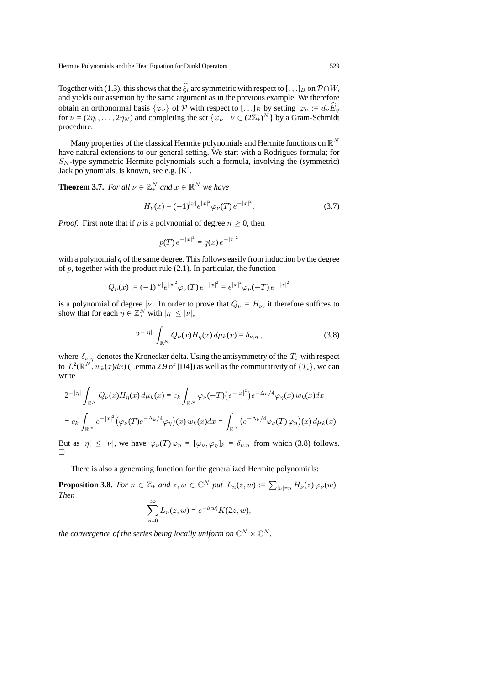Together with (1.3), this shows that the  $\xi_i$  are symmetric with respect to [.,.]*B* on  $P \cap W$ , and yields our assertion by the same argument as in the previous example. We therefore obtain an orthonormal basis  $\{\varphi_{\nu}\}$  of  $\mathcal P$  with respect to [.,.]*B* by setting  $\varphi_{\nu} := d_{\nu} \widehat{E}_{\eta}$ for  $\nu = (2\eta_1, \dots, 2\eta_N)$  and completing the set  $\{\varphi_\nu, \nu \in (2\mathbb{Z}_+)^N\}$  by a Gram-Schmidt procedure.

Many properties of the classical Hermite polynomials and Hermite functions on R*<sup>N</sup>* have natural extensions to our general setting. We start with a Rodrigues-formula; for S*<sup>N</sup>* -type symmetric Hermite polynomials such a formula, involving the (symmetric) Jack polynomials, is known, see e.g. [K].

**Theorem 3.7.** *For all*  $\nu \in \mathbb{Z}_+^N$  *and*  $x \in \mathbb{R}^N$  *we have* 

$$
H_{\nu}(x) = (-1)^{\mid \nu \mid} e^{\mid x \mid^{2}} \varphi_{\nu}(T) e^{-\mid x \mid^{2}}.
$$
 (3.7)

*Proof.* First note that if p is a polynomial of degree  $n \geq 0$ , then

$$
p(T) e^{-|x|^2} = q(x) e^{-|x|^2}
$$

with a polynomial  $q$  of the same degree. This follows easily from induction by the degree of  $p$ , together with the product rule (2.1). In particular, the function

$$
Q_{\nu}(x) := (-1)^{\mid \nu \mid} e^{\mid x \mid^2} \varphi_{\nu}(T) e^{-\mid x \mid^2} = e^{\mid x \mid^2} \varphi_{\nu}(-T) e^{-\mid x \mid^2}
$$

is a polynomial of degree  $|\nu|$ . In order to prove that  $Q_{\nu} = H_{\nu}$ , it therefore suffices to show that for each  $\eta \in \mathbb{Z}_{+}^{N}$  with  $|\eta| \leq |\nu|$ ,

$$
2^{-|\eta|} \int_{\mathbb{R}^N} Q_{\nu}(x) H_{\eta}(x) d\mu_k(x) = \delta_{\nu, \eta} , \qquad (3.8)
$$

where  $\delta_{\nu,\eta}$  denotes the Kronecker delta. Using the antisymmetry of the  $T_i$  with respect to  $L^2(\mathbb{R}^N, w_k(x)dx)$  (Lemma 2.9 of [D4]) as well as the commutativity of  $\{T_i\}$ , we can write

$$
2^{-|\eta|} \int_{\mathbb{R}^N} Q_{\nu}(x) H_{\eta}(x) d\mu_k(x) = c_k \int_{\mathbb{R}^N} \varphi_{\nu}(-T) \left( e^{-|x|^2} \right) e^{-\Delta_k/4} \varphi_{\eta}(x) w_k(x) dx
$$
  
= 
$$
c_k \int_{\mathbb{R}^N} e^{-|x|^2} \left( \varphi_{\nu}(T) e^{-\Delta_k/4} \varphi_{\eta} \right)(x) w_k(x) dx = \int_{\mathbb{R}^N} \left( e^{-\Delta_k/4} \varphi_{\nu}(T) \varphi_{\eta} \right)(x) d\mu_k(x).
$$

But as  $|\eta| \leq |\nu|$ , we have  $\varphi_{\nu}(T) \varphi_{\eta} = [\varphi_{\nu}, \varphi_{\eta}]_k = \delta_{\nu, \eta}$  from which (3.8) follows.  $\Box$ 

There is also a generating function for the generalized Hermite polynomials:

**Proposition 3.8.** *For*  $n \in \mathbb{Z}_+$  *and*  $z, w \in \mathbb{C}^N$  *put*  $L_n(z, w) := \sum_{|\nu|=n} H_{\nu}(z) \varphi_{\nu}(w)$ . *Then*

$$
\sum_{n=0}^{\infty} L_n(z, w) = e^{-l(w)} K(2z, w),
$$

*the convergence of the series being locally uniform on*  $\mathbb{C}^N \times \mathbb{C}^N$ .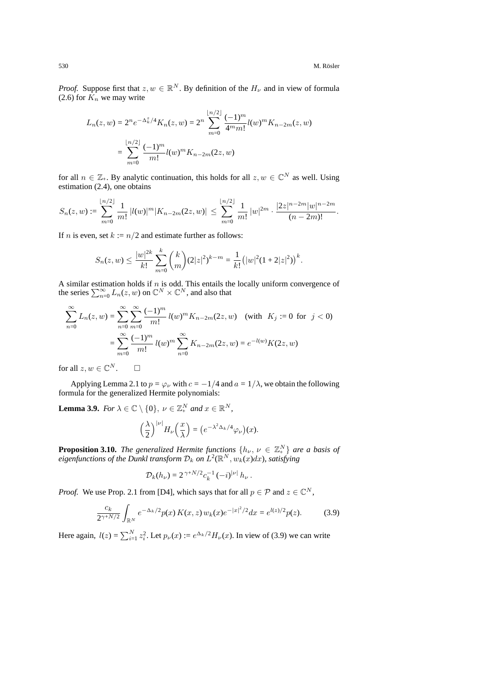*Proof.* Suppose first that  $z, w \in \mathbb{R}^N$ . By definition of the  $H_\nu$  and in view of formula  $(2.6)$  for  $\overrightarrow{K_n}$  we may write

$$
L_n(z, w) = 2^n e^{-\Delta_k^z/4} K_n(z, w) = 2^n \sum_{m=0}^{\lfloor n/2 \rfloor} \frac{(-1)^m}{4^m m!} l(w)^m K_{n-2m}(z, w)
$$

$$
= \sum_{m=0}^{\lfloor n/2 \rfloor} \frac{(-1)^m}{m!} l(w)^m K_{n-2m}(2z, w)
$$

for all  $n \in \mathbb{Z}_+$ . By analytic continuation, this holds for all  $z, w \in \mathbb{C}^N$  as well. Using estimation (2.4), one obtains

$$
S_n(z,w) := \sum_{m=0}^{\lfloor n/2 \rfloor} \frac{1}{m!} |l(w)|^m |K_{n-2m}(2z,w)| \leq \sum_{m=0}^{\lfloor n/2 \rfloor} \frac{1}{m!} |w|^{2m} \cdot \frac{|2z|^{n-2m} |w|^{n-2m}}{(n-2m)!}.
$$

If *n* is even, set  $k := n/2$  and estimate further as follows:

$$
S_n(z, w) \le \frac{|w|^{2k}}{k!} \sum_{m=0}^k {k \choose m} (2|z|^2)^{k-m} = \frac{1}{k!} (|w|^2 (1+2|z|^2))^{k}.
$$

A similar estimation holds if  $n$  is odd. This entails the locally uniform convergence of the series  $\sum_{n=0}^{\infty} L_n(z, w)$  on  $\mathbb{C}^N \times \mathbb{C}^N$ , and also that

$$
\sum_{n=0}^{\infty} L_n(z, w) = \sum_{n=0}^{\infty} \sum_{m=0}^{\infty} \frac{(-1)^m}{m!} l(w)^m K_{n-2m}(2z, w) \quad \text{(with } K_j := 0 \text{ for } j < 0)
$$
\n
$$
= \sum_{m=0}^{\infty} \frac{(-1)^m}{m!} l(w)^m \sum_{n=0}^{\infty} K_{n-2m}(2z, w) = e^{-l(w)} K(2z, w)
$$

for all  $z, w \in \mathbb{C}^N$ .  $\square$ 

Applying Lemma 2.1 to  $p = \varphi_{\nu}$  with  $c = -1/4$  and  $a = 1/\lambda$ , we obtain the following formula for the generalized Hermite polynomials:

**Lemma 3.9.** *For*  $\lambda \in \mathbb{C} \setminus \{0\}$ ,  $\nu \in \mathbb{Z}_{+}^{N}$  and  $x \in \mathbb{R}^{N}$ ,

$$
\left(\frac{\lambda}{2}\right)^{|\nu|} H_{\nu}\left(\frac{x}{\lambda}\right) = \left(e^{-\lambda^2 \Delta_k/4} \varphi_{\nu}\right)(x).
$$

**Proposition 3.10.** *The generalized Hermite functions*  $\{h_{\nu}, \nu \in \mathbb{Z}_{+}^{N}\}\$  *are a basis of eigenfunctions of the Dunkl transform*  $\mathcal{D}_k$  *on*  $L^2(\mathbb{R}^N, w_k(x)dx)$ *, satisfying* 

$$
\mathcal{D}_k(h_\nu) = 2^{\gamma + N/2} c_k^{-1} (-i)^{|\nu|} h_\nu.
$$

*Proof.* We use Prop. 2.1 from [D4], which says that for all  $p \in \mathcal{P}$  and  $z \in \mathbb{C}^N$ ,

$$
\frac{c_k}{2^{\gamma + N/2}} \int_{\mathbb{R}^N} e^{-\Delta_k/2} p(x) K(x, z) w_k(x) e^{-|x|^2/2} dx = e^{l(z)/2} p(z). \tag{3.9}
$$

Here again,  $l(z) = \sum_{i=1}^{N} z_i^2$ . Let  $p_{\nu}(x) := e^{\Delta_k/2} H_{\nu}(x)$ . In view of (3.9) we can write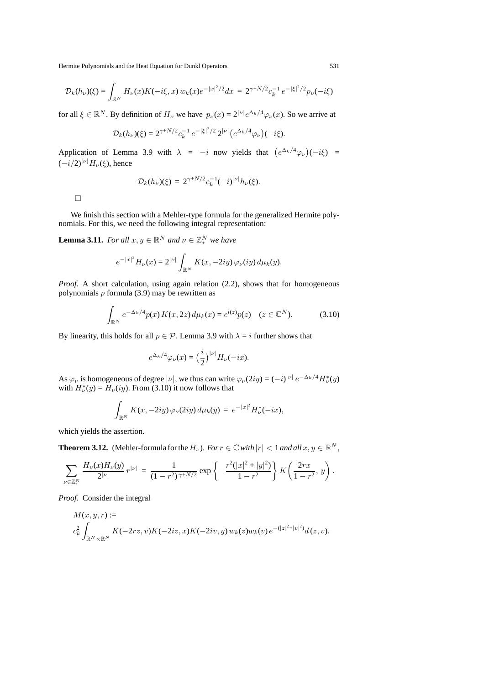$$
\mathcal{D}_k(h_\nu)(\xi) = \int_{\mathbb{R}^N} H_\nu(x) K(-i\xi, x) w_k(x) e^{-|x|^2/2} dx = 2^{\gamma + N/2} c_k^{-1} e^{-|\xi|^2/2} p_\nu(-i\xi)
$$

for all  $\xi \in \mathbb{R}^N$ . By definition of  $H_\nu$  we have  $p_\nu(x) = 2^{|\nu|} e^{\Delta_k/4} \varphi_\nu(x)$ . So we arrive at

$$
\mathcal{D}_k(h_\nu)(\xi) = 2^{\gamma + N/2} c_k^{-1} e^{-|\xi|^2/2} 2^{|\nu|} (e^{\Delta_k/4} \varphi_\nu)(-i\xi).
$$

Application of Lemma 3.9 with  $\lambda = -i$  now yields that  $(e^{\Delta_k/4}\varphi_\nu)(-i\xi)$  = (*−*i/2)*|ν<sup>|</sup>* H*ν*(ξ), hence

$$
\mathcal{D}_k(h_\nu)(\xi) = 2^{\gamma + N/2} c_k^{-1} (-i)^{|\nu|} h_\nu(\xi).
$$

 $\Box$ 

We finish this section with a Mehler-type formula for the generalized Hermite polynomials. For this, we need the following integral representation:

**Lemma 3.11.** *For all*  $x, y \in \mathbb{R}^N$  *and*  $\nu \in \mathbb{Z}_+^N$  *we have* 

$$
e^{-|x|^2}H_{\nu}(x) = 2^{|\nu|} \int_{\mathbb{R}^N} K(x, -2iy) \, \varphi_{\nu}(iy) \, d\mu_k(y).
$$

*Proof.* A short calculation, using again relation (2.2), shows that for homogeneous polynomials  $p$  formula (3.9) may be rewritten as

$$
\int_{\mathbb{R}^N} e^{-\Delta_k/4} p(x) K(x, 2z) d\mu_k(x) = e^{l(z)} p(z) \quad (z \in \mathbb{C}^N). \tag{3.10}
$$

By linearity, this holds for all  $p \in \mathcal{P}$ . Lemma 3.9 with  $\lambda = i$  further shows that

$$
e^{\Delta_k/4}\varphi_{\nu}(x) = \left(\frac{i}{2}\right)^{\nu/2}H_{\nu}(-ix).
$$

As  $\varphi_{\nu}$  is homogeneous of degree  $|\nu|$ , we thus can write  $\varphi_{\nu}(2iy) = (-i)^{|\nu|} e^{-\Delta_k/4} H_{\nu}^*(y)$ with  $H^*_{\nu}(y) = H_{\nu}(iy)$ . From (3.10) it now follows that

$$
\int_{\mathbb{R}^N} K(x, -2iy) \varphi_{\nu}(2iy) d\mu_k(y) = e^{-|x|^2} H_{\nu}^*(-ix),
$$

which yields the assertion.

**Theorem 3.12.** (Mehler-formula for the  $H_\nu$ ). *For*  $r \in \mathbb{C}$  *with*  $|r| < 1$  *and all*  $x, y \in \mathbb{R}^N$ ,

$$
\sum_{\nu \in \mathbb{Z}_+^N} \frac{H_{\nu}(x)H_{\nu}(y)}{2^{|\nu|}} r^{|\nu|} = \frac{1}{(1-r^2)^{\gamma + N/2}} \exp \left\{-\frac{r^2(|x|^2 + |y|^2)}{1-r^2}\right\} K\left(\frac{2rx}{1-r^2}, y\right).
$$

*Proof.* Consider the integral

$$
M(x, y, r) :=
$$
  

$$
c_k^2 \int_{\mathbb{R}^N \times \mathbb{R}^N} K(-2rz, v) K(-2iz, x) K(-2iv, y) w_k(z) w_k(v) e^{-(|z|^2 + |v|^2)} d(z, v).
$$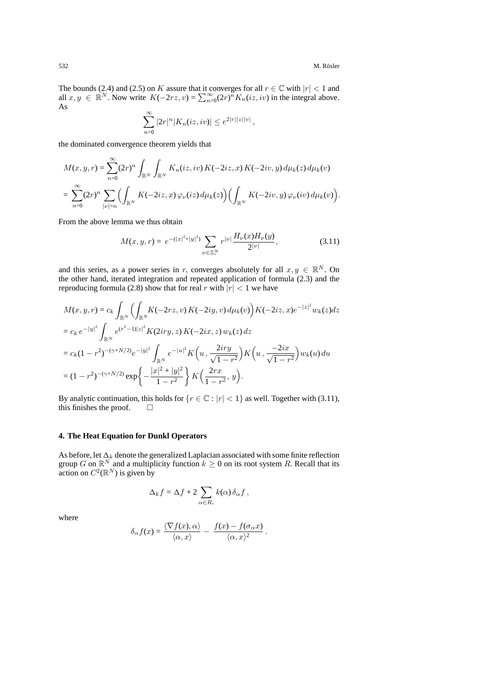The bounds (2.4) and (2.5) on K assure that it converges for all  $r \in \mathbb{C}$  with  $|r| < 1$  and all  $x, y \in \mathbb{R}^N$ . Now write  $K(-2rz, v) = \sum_{n=0}^{\infty} (2r)^n K_n(iz, iv)$  in the integral above. As

$$
\sum_{n=0}^{\infty} |2r|^n |K_n(iz, iv)| \le e^{2|r||z||v|},
$$

the dominated convergence theorem yields that

$$
M(x, y, r) = \sum_{n=0}^{\infty} (2r)^n \int_{\mathbb{R}^N} \int_{\mathbb{R}^N} K_n(iz, iv) K(-2iz, x) K(-2iv, y) d\mu_k(z) d\mu_k(v)
$$
  
= 
$$
\sum_{n=0}^{\infty} (2r)^n \sum_{|\nu|=n} \left( \int_{\mathbb{R}^N} K(-2iz, x) \varphi_{\nu}(iz) d\mu_k(z) \right) \left( \int_{\mathbb{R}^N} K(-2iv, y) \varphi_{\nu}(iv) d\mu_k(v) \right).
$$

From the above lemma we thus obtain

$$
M(x, y, r) = e^{-(|x|^2 + |y|^2)} \sum_{\nu \in \mathbb{Z}_+^N} r^{|\nu|} \frac{H_{\nu}(x) H_{\nu}(y)}{2^{|\nu|}},
$$
(3.11)

and this series, as a power series in r, converges absolutely for all  $x, y \in \mathbb{R}^N$ . On the other hand, iterated integration and repeated application of formula (2.3) and the reproducing formula (2.8) show that for real r with  $|r| < 1$  we have

$$
M(x, y, r) = c_k \int_{\mathbb{R}^N} \left( \int_{\mathbb{R}^N} K(-2rz, v) K(-2iy, v) d\mu_k(v) \right) K(-2iz, x) e^{-|z|^2} w_k(z) dz
$$
  
\n
$$
= c_k e^{-|y|^2} \int_{\mathbb{R}^N} e^{(r^2-1)|z|^2} K(2iry, z) K(-2ix, z) w_k(z) dz
$$
  
\n
$$
= c_k (1 - r^2)^{-(\gamma + N/2)} e^{-|y|^2} \int_{\mathbb{R}^N} e^{-|u|^2} K\left(u, \frac{2iry}{\sqrt{1-r^2}}\right) K\left(u, \frac{-2ix}{\sqrt{1-r^2}}\right) w_k(u) du
$$
  
\n
$$
= (1 - r^2)^{-(\gamma + N/2)} \exp\left\{-\frac{|x|^2 + |y|^2}{1-r^2}\right\} K\left(\frac{2rx}{1-r^2}, y\right).
$$

By analytic continuation, this holds for  $\{r \in \mathbb{C} : |r| < 1\}$  as well. Together with (3.11), this finishes the proof.  $\square$ 

# **4. The Heat Equation for Dunkl Operators**

As before, let  $\Delta_k$  denote the generalized Laplacian associated with some finite reflection group G on  $\mathbb{R}^N$  and a multiplicity function  $k \geq 0$  on its root system R. Recall that its action on  $C^2(\mathbb{R}^N)$  is given by

$$
\Delta_k f = \Delta f + 2 \sum_{\alpha \in R_+} k(\alpha) \, \delta_\alpha f \,,
$$

where

$$
\delta_{\alpha} f(x) = \frac{\langle \nabla f(x), \alpha \rangle}{\langle \alpha, x \rangle} - \frac{f(x) - f(\sigma_{\alpha} x)}{\langle \alpha, x \rangle^2}.
$$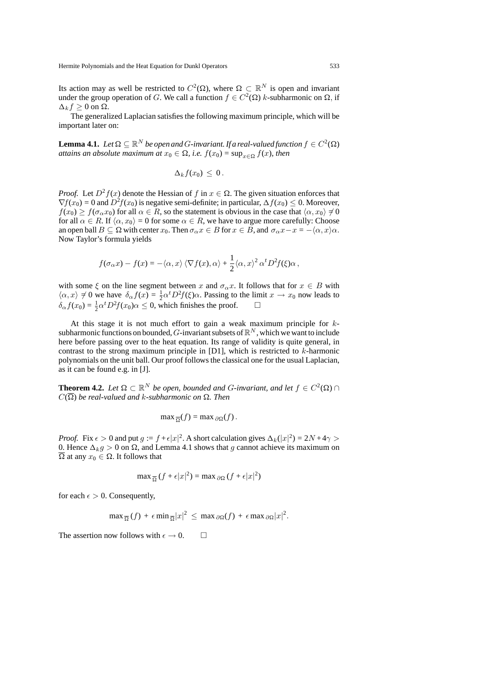Its action may as well be restricted to  $C^2(\Omega)$ , where  $\Omega \subset \mathbb{R}^N$  is open and invariant under the group operation of G. We call a function  $f \in C^2(\Omega)$  k-subharmonic on  $\Omega$ , if  $\Delta_k f \geq 0$  on  $\Omega$ .

The generalized Laplacian satisfies the following maximum principle, which will be important later on:

**Lemma 4.1.** *Let*  $\Omega \subseteq \mathbb{R}^N$  *be open and G*-invariant. If a real-valued function  $f \in C^2(\Omega)$ *attains an absolute maximum at*  $x_0 \in \Omega$ *, i.e.*  $f(x_0) = \sup_{x \in \Omega} f(x)$ *, then* 

$$
\Delta_k f(x_0) \leq 0.
$$

*Proof.* Let  $D^2 f(x)$  denote the Hessian of f in  $x \in \Omega$ . The given situation enforces that  $\nabla f(x_0) = 0$  and  $D^2 f(x_0)$  is negative semi-definite; in particular,  $\Delta f(x_0) \leq 0$ . Moreover,  $f(x_0) \ge f(\sigma_\alpha x_0)$  for all  $\alpha \in R$ , so the statement is obvious in the case that  $\langle \alpha, x_0 \rangle \ne 0$ for all  $\alpha \in R$ . If  $\langle \alpha, x_0 \rangle = 0$  for some  $\alpha \in R$ , we have to argue more carefully: Choose an open ball  $B \subseteq \Omega$  with center  $x_0$ . Then  $\sigma_\alpha x \in B$  for  $x \in B$ , and  $\sigma_\alpha x - x = -\langle \alpha, x \rangle \alpha$ . Now Taylor's formula yields

$$
f(\sigma_\alpha x) - f(x) = -\langle \alpha, x \rangle \langle \nabla f(x), \alpha \rangle + \frac{1}{2} \langle \alpha, x \rangle^2 \alpha^t D^2 f(\xi) \alpha,
$$

with some  $\xi$  on the line segment between x and  $\sigma_\alpha x$ . It follows that for  $x \in B$  with  $\langle \alpha, x \rangle \neq 0$  we have  $\delta_{\alpha} f(x) = \frac{1}{2} \alpha^t D^2 f(\xi) \alpha$ . Passing to the limit  $x \to x_0$  now leads to  $\delta_{\alpha} f(x_0) = \frac{1}{2} \alpha^t D^2 f(x_0) \alpha \leq 0$ , which finishes the proof.  $\square$ 

At this stage it is not much effort to gain a weak maximum principle for  $k$ subharmonic functions on bounded,  $G$ -invariant subsets of  $\mathbb{R}^N$ , which we want to include here before passing over to the heat equation. Its range of validity is quite general, in contrast to the strong maximum principle in  $[D1]$ , which is restricted to  $k$ -harmonic polynomials on the unit ball. Our proof follows the classical one for the usual Laplacian, as it can be found e.g. in [J].

**Theorem 4.2.** *Let*  $\Omega \subset \mathbb{R}^N$  *be open, bounded and G-invariant, and let*  $f \in C^2(\Omega) \cap$  $C(\overline{\Omega})$  be real-valued and k-subharmonic on  $\Omega$ . Then

$$
\max \frac{1}{\Omega}(f) = \max \frac{\partial \Omega}{\partial f}.
$$

*Proof.* Fix  $\epsilon > 0$  and put  $g := f + \epsilon |x|^2$ . A short calculation gives  $\Delta_k(|x|^2) = 2N + 4\gamma >$ 0. Hence  $\Delta_k g > 0$  on  $\Omega$ , and Lemma 4.1 shows that g cannot achieve its maximum on  $\overline{\Omega}$  at any  $x_0 \in \Omega$ . It follows that

$$
\max_{\overline{\Omega}} (f + \epsilon |x|^2) = \max_{\partial \Omega} (f + \epsilon |x|^2)
$$

for each  $\epsilon > 0$ . Consequently,

$$
\max \frac{\alpha}{\Omega}(f) + \epsilon \min \frac{\alpha}{\Omega}|x|^2 \leq \max \frac{\partial \Omega}{\partial x}(f) + \epsilon \max \frac{\partial \Omega}{\partial x}|x|^2.
$$

The assertion now follows with  $\epsilon \to 0$ .  $\Box$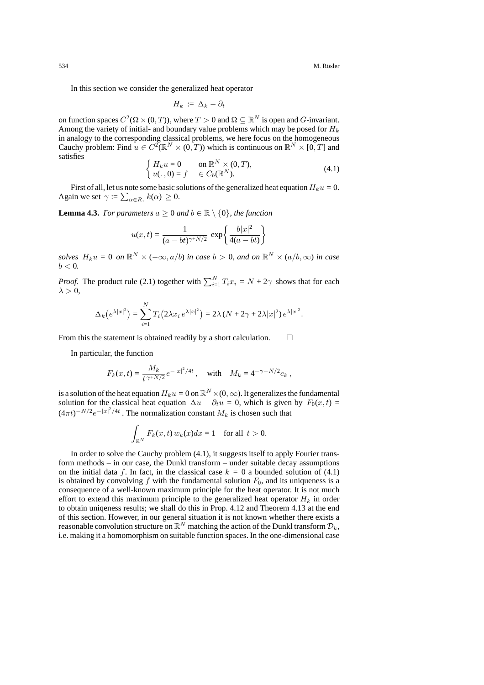In this section we consider the generalized heat operator

$$
H_k := \Delta_k - \partial_t
$$

on function spaces  $C^2(\Omega \times (0,T))$ , where  $T > 0$  and  $\Omega \subseteq \mathbb{R}^N$  is open and *G*-invariant. Among the variety of initial- and boundary value problems which may be posed for H*<sup>k</sup>* in analogy to the corresponding classical problems, we here focus on the homogeneous Cauchy problem: Find  $u \in C^2(\mathbb{R}^N \times (0,T))$  which is continuous on  $\mathbb{R}^N \times [0,T]$  and satisfies

$$
\begin{cases}\nH_k u = 0 & \text{on } \mathbb{R}^N \times (0, T), \\
u(. , 0) = f \in C_b(\mathbb{R}^N).\n\end{cases} \tag{4.1}
$$

First of all, let us note some basic solutions of the generalized heat equation  $H_k u = 0$ . Again we set  $\gamma := \sum_{\alpha \in R_+} k(\alpha) \geq 0$ .

**Lemma 4.3.** *For parameters*  $a \geq 0$  *and*  $b \in \mathbb{R} \setminus \{0\}$ *, the function* 

$$
u(x,t) = \frac{1}{(a - bt)^{\gamma + N/2}} \exp\left\{\frac{b|x|^2}{4(a - bt)}\right\}
$$

*solves*  $H_k u = 0$  *on*  $\mathbb{R}^N \times (-\infty, a/b)$  *in case*  $b > 0$ *, and on*  $\mathbb{R}^N \times (a/b, \infty)$  *in case*  $b < 0$ .

*Proof.* The product rule (2.1) together with  $\sum_{i=1}^{N} T_i x_i = N + 2\gamma$  shows that for each  $\lambda > 0$ ,

$$
\Delta_k(e^{\lambda|x|^2}) = \sum_{i=1}^N T_i(2\lambda x_i e^{\lambda|x|^2}) = 2\lambda (N + 2\gamma + 2\lambda|x|^2) e^{\lambda|x|^2}.
$$

From this the statement is obtained readily by a short calculation.  $\Box$ 

In particular, the function

$$
F_k(x,t) = \frac{M_k}{t^{\gamma + N/2}} e^{-|x|^2/4t}, \quad \text{with} \quad M_k = 4^{-\gamma - N/2} c_k,
$$

is a solution of the heat equation  $H_ku = 0$  on  $\mathbb{R}^N\times(0,\infty).$  It generalizes the fundamental solution for the classical heat equation  $\Delta u - \partial_t u = 0$ , which is given by  $F_0(x, t) =$  $(4\pi t)^{-N/2}e^{-|x|^2/4t}$ . The normalization constant  $M_k$  is chosen such that

$$
\int_{\mathbb{R}^N} F_k(x,t) \, w_k(x) dx = 1 \quad \text{for all } t > 0.
$$

In order to solve the Cauchy problem (4.1), it suggests itself to apply Fourier transform methods – in our case, the Dunkl transform – under suitable decay assumptions on the initial data f. In fact, in the classical case  $k = 0$  a bounded solution of (4.1) is obtained by convolving  $f$  with the fundamental solution  $F_0$ , and its uniqueness is a consequence of a well-known maximum principle for the heat operator. It is not much effort to extend this maximum principle to the generalized heat operator  $H_k$  in order to obtain uniqeness results; we shall do this in Prop. 4.12 and Theorem 4.13 at the end of this section. However, in our general situation it is not known whether there exists a reasonable convolution structure on  $\mathbb{R}^N$  matching the action of the Dunkl transform  $\mathcal{D}_k$ , i.e. making it a homomorphism on suitable function spaces. In the one-dimensional case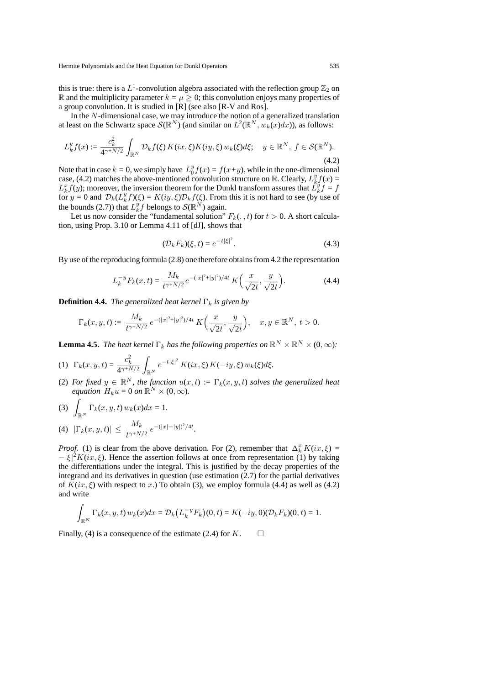this is true: there is a  $L^1$ -convolution algebra associated with the reflection group  $\mathbb{Z}_2$  on R and the multiplicity parameter  $k = \mu \geq 0$ ; this convolution enjoys many properties of a group convolution. It is studied in [R] (see also [R-V and Ros].

In the N-dimensional case, we may introduce the notion of a generalized translation at least on the Schwartz space  $\mathcal{S}(\mathbb{R}^N)$  (and similar on  $L^2(\mathbb{R}^N, w_k(x)dx)$ ), as follows:

$$
L_k^y f(x) \coloneqq \frac{c_k^2}{4^{\gamma + N/2}} \int_{\mathbb{R}^N} \mathcal{D}_k f(\xi) \, K(ix, \xi) K(iy, \xi) \, w_k(\xi) d\xi; \quad y \in \mathbb{R}^N, \ f \in \mathcal{S}(\mathbb{R}^N). \tag{4.2}
$$

Note that in case  $k = 0$ , we simply have  $L_0^y f(x) = f(x+y)$ , while in the one-dimensional case, (4.2) matches the above-mentioned convolution structure on R. Clearly,  $L_k^y f(x) =$  $L_k^x f(y)$ ; moreover, the inversion theorem for the Dunkl transform assures that  $\tilde{L_k^y} f = f$ for  $y = 0$  and  $\mathcal{D}_k(L_k^y f)(\xi) = K(iy, \xi) \mathcal{D}_k f(\xi)$ . From this it is not hard to see (by use of the bounds (2.7)) that  $L_k^y f$  belongs to  $\mathcal{S}(\mathbb{R}^N)$  again.

Let us now consider the "fundamental solution"  $F_k(.,t)$  for  $t > 0$ . A short calculation, using Prop. 3.10 or Lemma 4.11 of [dJ], shows that

$$
(\mathcal{D}_k F_k)(\xi, t) = e^{-t|\xi|^2}.
$$
\n(4.3)

By use of the reproducing formula (2.8) one therefore obtains from 4.2 the representation

$$
L_k^{-y} F_k(x,t) = \frac{M_k}{t^{\gamma + N/2}} e^{-(|x|^2 + |y|^2)/4t} K\left(\frac{x}{\sqrt{2t}}, \frac{y}{\sqrt{2t}}\right).
$$
 (4.4)

**Definition 4.4.** *The generalized heat kernel*  $\Gamma_k$  *is given by* 

$$
\Gamma_k(x,y,t)\coloneqq \frac{M_k}{t^{\gamma+N/2}}\, e^{-(|x|^2+|y|^2)/4t}\, K\Big(\frac{x}{\sqrt{2t}},\frac{y}{\sqrt{2t}}\Big),\quad x,y\in\mathbb{R}^N,\ t>0.
$$

**Lemma 4.5.** *The heat kernel*  $\Gamma_k$  *has the following properties on*  $\mathbb{R}^N \times \mathbb{R}^N \times (0, \infty)$ *:* 

(1) 
$$
\Gamma_k(x, y, t) = \frac{c_k^2}{4^{\gamma + N/2}} \int_{\mathbb{R}^N} e^{-t|\xi|^2} K(ix, \xi) K(-iy, \xi) w_k(\xi) d\xi.
$$

- (2) *For fixed*  $y \in \mathbb{R}^N$ *, the function*  $u(x,t) := \Gamma_k(x, y, t)$  *solves the generalized heat equation*  $H_k u = 0$  *on*  $\mathbb{R}^N \times (0, \infty)$ .
- $(3)$ R*<sup>N</sup>*  $\Gamma_k(x, y, t)$   $w_k(x)dx = 1$ .  $(|4)$   $|\Gamma_k(x, y, t)| \leq \frac{M_k}{t^{\gamma + N/2}} e^{-(|x| - |y|)^2/4t}$ .

*Proof.* (1) is clear from the above derivation. For (2), remember that  $\Delta_k^x K(ix, \xi) =$  $-|\xi|^2 K(ix, \xi)$ . Hence the assertion follows at once from representation (1) by taking the differentiations under the integral. This is justified by the decay properties of the integrand and its derivatives in question (use estimation (2.7) for the partial derivatives of  $K(ix, \xi)$  with respect to x.) To obtain (3), we employ formula (4.4) as well as (4.2) and write

$$
\int_{\mathbb{R}^N} \Gamma_k(x, y, t) w_k(x) dx = \mathcal{D}_k(L_k^{-y} F_k)(0, t) = K(-iy, 0)(\mathcal{D}_k F_k)(0, t) = 1.
$$

Finally, (4) is a consequence of the estimate (2.4) for  $K$ .  $\Box$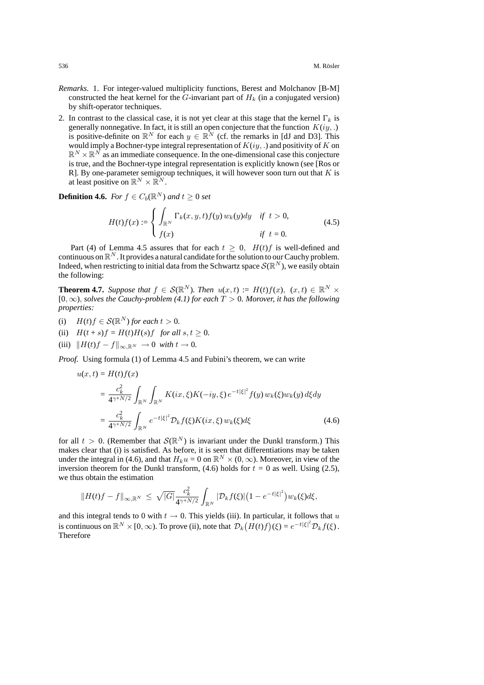- *Remarks.* 1. For integer-valued multiplicity functions, Berest and Molchanov [B-M] constructed the heat kernel for the  $G$ -invariant part of  $H_k$  (in a conjugated version) by shift-operator techniques.
- 2. In contrast to the classical case, it is not yet clear at this stage that the kernel  $\Gamma_k$  is generally nonnegative. In fact, it is still an open conjecture that the function  $K(iy,.)$ is positive-definite on  $\mathbb{R}^N$  for each  $y \in \mathbb{R}^N$  (cf. the remarks in [dJ and D3]. This would imply a Bochner-type integral representation of  $K(iy, .)$  and positivity of K on  $\mathbb{R}^N \times \mathbb{R}^N$  as an immediate consequence. In the one-dimensional case this conjecture is true, and the Bochner-type integral representation is explicitly known (see [Ros or R]. By one-parameter semigroup techniques, it will however soon turn out that  $K$  is at least positive on  $\mathbb{R}^N \times \mathbb{R}^N$ .

**Definition 4.6.** *For*  $f \in C_b(\mathbb{R}^N)$  *and*  $t \geq 0$  *set* 

$$
H(t)f(x) := \begin{cases} \int_{\mathbb{R}^N} \Gamma_k(x, y, t) f(y) w_k(y) dy & \text{if } t > 0, \\ f(x) & \text{if } t = 0. \end{cases}
$$
(4.5)

Part (4) of Lemma 4.5 assures that for each  $t \geq 0$ ,  $H(t)f$  is well-defined and continuous on  $\mathbb{R}^N$ . It provides a natural candidate for the solution to our Cauchy problem. Indeed, when restricting to initial data from the Schwartz space  $\mathcal{S}(\mathbb{R}^N)$ , we easily obtain the following:

**Theorem 4.7.** *Suppose that*  $f \in \mathcal{S}(\mathbb{R}^N)$ *. Then*  $u(x,t) := H(t)f(x)$ *,*  $(x,t) \in \mathbb{R}^N \times$ [0, *∞*), *solves the Cauchy-problem (4.1) for each* T > 0*. Morover, it has the following properties:*

- (i)  $H(t)f \in \mathcal{S}(\mathbb{R}^N)$  *for each*  $t > 0$ *.*
- (ii)  $H(t + s) f = H(t)H(s)f$  *for all*  $s, t \geq 0$ *.*
- (iii)  $\|H(t)f f\|_{\infty, \mathbb{R}^N} \to 0$  *with*  $t \to 0$ .

*Proof.* Using formula (1) of Lemma 4.5 and Fubini's theorem, we can write

$$
u(x,t) = H(t)f(x)
$$
  
\n
$$
= \frac{c_k^2}{4^{\gamma+N/2}} \int_{\mathbb{R}^N} \int_{\mathbb{R}^N} K(ix,\xi)K(-iy,\xi) e^{-t|\xi|^2} f(y) w_k(\xi) w_k(y) d\xi dy
$$
  
\n
$$
= \frac{c_k^2}{4^{\gamma+N/2}} \int_{\mathbb{R}^N} e^{-t|\xi|^2} \mathcal{D}_k f(\xi) K(ix,\xi) w_k(\xi) d\xi
$$
(4.6)

for all  $t > 0$ . (Remember that  $\mathcal{S}(\mathbb{R}^N)$  is invariant under the Dunkl transform.) This makes clear that (i) is satisfied. As before, it is seen that differentiations may be taken under the integral in (4.6), and that  $H_k u = 0$  on  $\mathbb{R}^N \times (0, \infty)$ . Moreover, in view of the inversion theorem for the Dunkl transform,  $(4.6)$  holds for  $t = 0$  as well. Using (2.5), we thus obtain the estimation

$$
||H(t)f - f||_{\infty, \mathbb{R}^N} \leq \sqrt{|G|} \frac{c_k^2}{4^{\gamma + N/2}} \int_{\mathbb{R}^N} |\mathcal{D}_k f(\xi)| (1 - e^{-t|\xi|^2}) w_k(\xi) d\xi,
$$

and this integral tends to 0 with  $t \to 0$ . This yields (iii). In particular, it follows that u is continuous on  $\mathbb{R}^N \times [0, \infty)$ . To prove (ii), note that  $\mathcal{D}_k(H(t)f)(\xi) = e^{-t|\xi|^2} \mathcal{D}_k f(\xi)$ . Therefore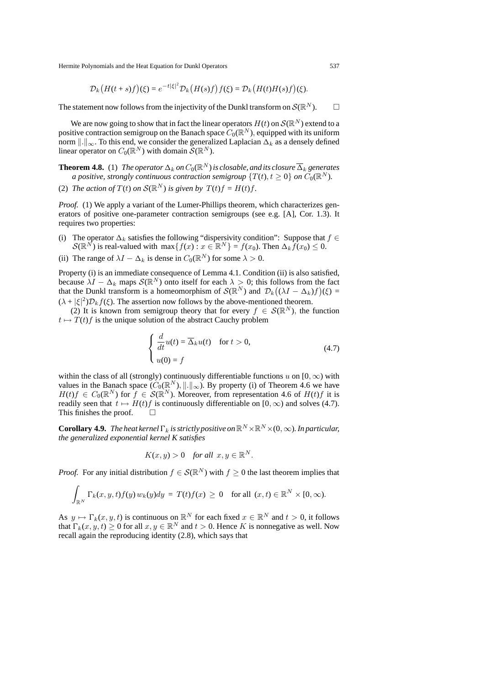$$
\mathcal{D}_k\big(H(t+s)f\big)(\xi) = e^{-t|\xi|^2} \mathcal{D}_k\big(H(s)f\big)f(\xi) = \mathcal{D}_k\big(H(t)H(s)f\big)(\xi).
$$

The statement now follows from the injectivity of the Dunkl transform on  $\mathcal{S}(\mathbb{R}^N)$ .

We are now going to show that in fact the linear operators  $H(t)$  on  $\mathcal{S}(\mathbb{R}^N)$  extend to a positive contraction semigroup on the Banach space  $C_0(\mathbb{R}^N)$ , equipped with its uniform norm  $\|\cdot\|_{\infty}$ . To this end, we consider the generalized Laplacian  $\Delta_k$  as a densely defined linear operator on  $C_0(\mathbb{R}^N)$  with domain  $\mathcal{S}(\mathbb{R}^N)$ .

**Theorem 4.8.** (1) *The operator*  $\Delta_k$  *on*  $C_0(\mathbb{R}^N)$  *is closable, and its closure*  $\overline{\Delta}_k$  *generates a positive, strongly continuous contraction semigroup*  $\{T(t), t \geq 0\}$  *on*  $C_0(\mathbb{R}^N)$ *.* 

(2) *The action of*  $T(t)$  *on*  $S(\mathbb{R}^N)$  *is given by*  $T(t)f = H(t)f$ *.* 

*Proof.* (1) We apply a variant of the Lumer-Phillips theorem, which characterizes generators of positive one-parameter contraction semigroups (see e.g. [A], Cor. 1.3). It requires two properties:

- The operator  $\Delta_k$  satisfies the following "dispersivity condition": Suppose that  $f \in$ *S*( $\mathbb{R}^{N}$ ) is real-valued with max $\{f(x) : x \in \mathbb{R}^{N}\} = f(x_0)$ . Then  $\Delta_k f(x_0) \leq 0$ .
- (ii) The range of  $\lambda I \Delta_k$  is dense in  $C_0(\mathbb{R}^N)$  for some  $\lambda > 0$ .

Property (i) is an immediate consequence of Lemma 4.1. Condition (ii) is also satisfied, because  $\lambda I - \Delta_k$  maps  $\mathcal{S}(\mathbb{R}^N)$  onto itself for each  $\lambda > 0$ ; this follows from the fact that the Dunkl transform is a homeomorphism of  $\mathcal{S}(\mathbb{R}^N)$  and  $\mathcal{D}_k((\lambda I - \Delta_k)f)(\xi) =$  $(\lambda + |\xi|^2) \mathcal{D}_k f(\xi)$ . The assertion now follows by the above-mentioned theorem.

(2) It is known from semigroup theory that for every  $f \in \mathcal{S}(\mathbb{R}^N)$ , the function  $t \mapsto T(t) f$  is the unique solution of the abstract Cauchy problem

$$
\begin{cases}\n\frac{d}{dt}u(t) = \overline{\Delta}_k u(t) & \text{for } t > 0, \\
u(0) = f\n\end{cases}
$$
\n(4.7)

within the class of all (strongly) continuously differentiable functions u on  $[0, \infty)$  with values in the Banach space  $(C_0(\mathbb{R}^N), \|.\|_{\infty})$ . By property (i) of Theorem 4.6 we have  $H(t)f \in C_0(\mathbb{R}^N)$  for  $f \in \mathcal{S}(\mathbb{R}^N)$ . Moreover, from representation 4.6 of  $H(t)f$  it is readily seen that  $t \mapsto H(t)f$  is continuously differentiable on  $[0, \infty)$  and solves (4.7). This finishes the proof.  $\square$ 

**Corollary 4.9.** *The heat kernel*  $\Gamma_k$  *is strictly positive on*  $\mathbb{R}^N \times \mathbb{R}^N \times (0, \infty)$ *. In particular, the generalized exponential kernel K satisfies*

$$
K(x, y) > 0 \quad for all \quad x, y \in \mathbb{R}^N.
$$

*Proof.* For any initial distribution  $f \in \mathcal{S}(\mathbb{R}^N)$  with  $f \geq 0$  the last theorem implies that

$$
\int_{\mathbb{R}^N} \Gamma_k(x, y, t) f(y) w_k(y) dy = T(t) f(x) \ge 0 \quad \text{for all } (x, t) \in \mathbb{R}^N \times [0, \infty).
$$

As  $y \mapsto \Gamma_k(x, y, t)$  is continuous on  $\mathbb{R}^N$  for each fixed  $x \in \mathbb{R}^N$  and  $t > 0$ , it follows that  $\Gamma_k(x, y, t) \ge 0$  for all  $x, y \in \mathbb{R}^N$  and  $t > 0$ . Hence K is nonnegative as well. Now recall again the reproducing identity (2.8), which says that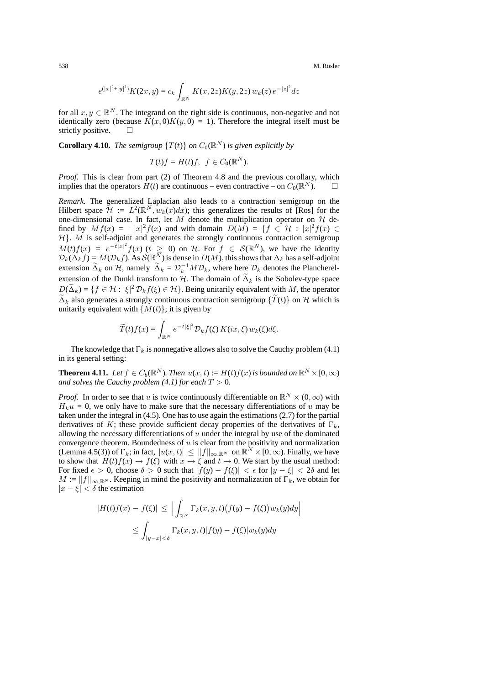538 M. Rösler ö

$$
e^{(|x|^2+|y|^2)}K(2x,y) = c_k \int_{\mathbb{R}^N} K(x,2z)K(y,2z) w_k(z) e^{-|z|^2} dz
$$

for all  $x, y \in \mathbb{R}^N$ . The integrand on the right side is continuous, non-negative and not identically zero (because  $K(x, 0)K(y, 0) = 1$ ). Therefore the integral itself must be strictly positive.  $\Box$ 

**Corollary 4.10.** *The semigroup*  $\{T(t)\}$  *on*  $C_0(\mathbb{R}^N)$  *is given explicitly by* 

$$
T(t)f = H(t)f, \ f \in C_0(\mathbb{R}^N).
$$

*Proof.* This is clear from part (2) of Theorem 4.8 and the previous corollary, which implies that the operators  $H(t)$  are continuous – even contractive – on  $C_0(\mathbb{R}^N)$ .

*Remark.* The generalized Laplacian also leads to a contraction semigroup on the Hilbert space  $\mathcal{H} := L^2(\mathbb{R}^N, w_k(x)dx)$ ; this generalizes the results of [Ros] for the one-dimensional case. In fact, let M denote the multiplication operator on  $H$  defined by  $Mf(x) = -|x|^2 f(x)$  and with domain  $D(M) = \{f \in \mathcal{H} : |x|^2 f(x) \in$ *H*}. *M* is self-adjoint and generates the strongly continuous contraction semigroup  $M(t) f(x) = e^{-t|x|^2} f(x)$  ( $t \ge 0$ ) on  $H$ . For  $f \in \mathcal{S}(\mathbb{R}^N)$ , we have the identity  $\mathcal{D}_k(\Delta_k f) = M(\mathcal{D}_k f)$ . As  $\mathcal{S}(\mathbb{R}^N)$  is dense in  $D(M)$ , this shows that  $\Delta_k$  has a self-adjoint extension  $\tilde{\Delta}_k$  on  $\mathcal{H}$ , namely  $\tilde{\Delta}_k = \mathcal{D}_k^{-1} M \mathcal{D}_k$ , where here  $\mathcal{D}_k$  denotes the Plancherelextension of the Dunkl transform to  $H$ . The domain of  $\tilde{\Delta}_k$  is the Sobolev-type space  $D(\tilde{\Delta}_k) = \{f \in \mathcal{H} : |\xi|^2 \mathcal{D}_k f(\xi) \in \mathcal{H}\}.$  Being unitarily equivalent with M, the operator  $\tilde{\Delta}_k$  also generates a strongly continuous contraction semigroup  $\{\tilde{T}(t)\}\$  on *H* which is unitarily equivalent with  ${M(t)}$ ; it is given by

$$
\widetilde{T}(t)f(x) = \int_{\mathbb{R}^N} e^{-t|\xi|^2} \mathcal{D}_k f(\xi) K(ix, \xi) w_k(\xi) d\xi.
$$

The knowledge that  $\Gamma_k$  is nonnegative allows also to solve the Cauchy problem (4.1) in its general setting:

**Theorem 4.11.** *Let*  $f \in C_b(\mathbb{R}^N)$ *. Then*  $u(x,t) := H(t)f(x)$  *is bounded on*  $\mathbb{R}^N \times [0,\infty)$ *and solves the Cauchy problem (4.1) for each*  $T > 0$ *.* 

*Proof.* In order to see that u is twice continuously differentiable on  $\mathbb{R}^N \times (0, \infty)$  with  $H_k u = 0$ , we only have to make sure that the necessary differentiations of u may be taken under the integral in (4.5). One has to use again the estimations (2.7) for the partial derivatives of K; these provide sufficient decay properties of the derivatives of  $\Gamma_k$ , allowing the necessary differentiations of  $u$  under the integral by use of the dominated convergence theorem. Boundedness of  $u$  is clear from the positivity and normalization (Lemma 4.5(3)) of  $\Gamma_k$ ; in fact,  $|u(x,t)| \le ||f||_{\infty, \mathbb{R}^N}$  on  $\mathbb{R}^N \times [0, \infty)$ . Finally, we have to show that  $H(t)f(x) \to f(\xi)$  with  $x \to \xi$  and  $t \to 0$ . We start by the usual method: For fixed  $\epsilon > 0$ , choose  $\delta > 0$  such that  $|f(y) - f(\xi)| < \epsilon$  for  $|y - \xi| < 2\delta$  and let  $M := ||f||_{\infty, \mathbb{R}^N}$ . Keeping in mind the positivity and normalization of  $\Gamma_k$ , we obtain for *|*x *−* ξ*|* < δ the estimation

$$
|H(t)f(x) - f(\xi)| \leq \left| \int_{\mathbb{R}^N} \Gamma_k(x, y, t) (f(y) - f(\xi)) w_k(y) dy \right|
$$
  

$$
\leq \int_{|y-x| < \delta} \Gamma_k(x, y, t) |f(y) - f(\xi)| w_k(y) dy
$$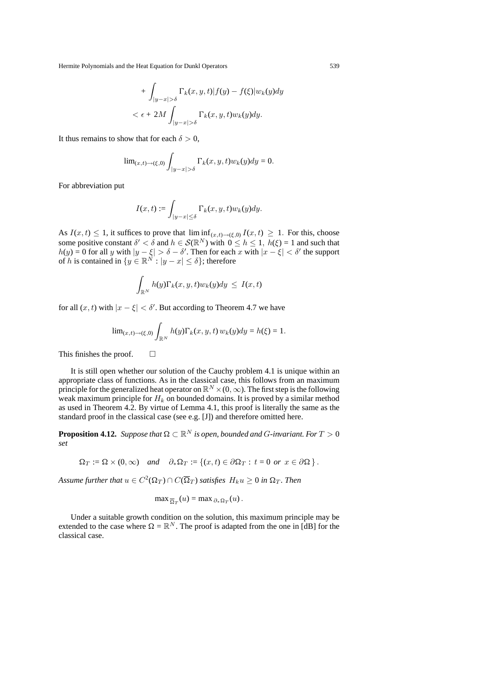+ 
$$
\int_{|y-x|>\delta} \Gamma_k(x, y, t) |f(y) - f(\xi)| w_k(y) dy
$$
  

$$
< \epsilon + 2M \int_{|y-x|>\delta} \Gamma_k(x, y, t) w_k(y) dy.
$$

It thus remains to show that for each  $\delta > 0$ ,

$$
\text{lim}_{(x,t)\to(\xi,0)}\int_{|y-x|>\delta}\Gamma_k(x,y,t)w_k(y)dy=0.
$$

For abbreviation put

$$
I(x,t):=\int_{|y-x|\leq \delta} \Gamma_k(x,y,t) w_k(y) dy.
$$

As  $I(x, t) \leq 1$ , it suffices to prove that  $\liminf_{(x,t)\to(\xi,0)} I(x, t) \geq 1$ . For this, choose some positive constant  $\delta' < \delta$  and  $h \in \mathcal{S}(\mathbb{R}^N)$  with  $0 \le h \le 1$ ,  $h(\xi) = 1$  and such that  $h(y) = 0$  for all y with  $|y - \xi| > \delta - \delta'$ . Then for each x with  $|x - \xi| < \delta'$  the support of h is contained in  $\{y \in \mathbb{R}^N : |y - x| \le \delta\}$ ; therefore

$$
\int_{\mathbb{R}^N} h(y) \Gamma_k(x, y, t) w_k(y) dy \leq I(x, t)
$$

for all  $(x, t)$  with  $|x - \xi| < \delta'$ . But according to Theorem 4.7 we have

$$
\lim_{(x,t)\to(\xi,0)}\int_{\mathbb{R}^N}h(y)\Gamma_k(x,y,t)\,w_k(y)dy=h(\xi)=1.
$$

This finishes the proof.  $\Box$ 

It is still open whether our solution of the Cauchy problem 4.1 is unique within an appropriate class of functions. As in the classical case, this follows from an maximum principle for the generalized heat operator on  $\mathbb{R}^N\times(0,\infty).$  The first step is the following weak maximum principle for H*<sup>k</sup>* on bounded domains. It is proved by a similar method as used in Theorem 4.2. By virtue of Lemma 4.1, this proof is literally the same as the standard proof in the classical case (see e.g. [J]) and therefore omitted here.

**Proposition 4.12.** *Suppose that*  $\Omega \subset \mathbb{R}^N$  *is open, bounded and G-invariant. For*  $T > 0$ *set*

$$
\Omega_T := \Omega \times (0, \infty) \quad \text{and} \quad \partial_* \Omega_T := \{ (x, t) \in \partial \Omega_T : t = 0 \text{ or } x \in \partial \Omega \}.
$$

*Assume further that*  $u \in C^2(\Omega_T) \cap C(\overline{\Omega}_T)$  *satisfies*  $H_k u \geq 0$  *in*  $\Omega_T$ *. Then* 

$$
\max \frac{1}{\Omega_T}(u) = \max \partial_* \Omega_T(u).
$$

Under a suitable growth condition on the solution, this maximum principle may be extended to the case where  $\Omega = \mathbb{R}^N$ . The proof is adapted from the one in [dB] for the classical case.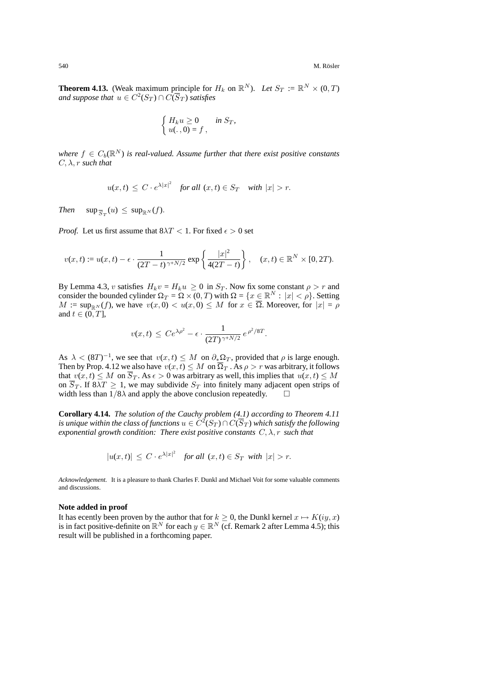**Theorem 4.13.** (Weak maximum principle for  $H_k$  on  $\mathbb{R}^N$ ). Let  $S_T := \mathbb{R}^N \times (0, T)$ *and suppose that*  $u \in C^2(S_T) \cap C(\overline{S}_T)$  *satisfies* 

$$
\begin{cases}\nH_k u \ge 0 & \text{in } S_T, \\
u(.,0) = f,\n\end{cases}
$$

*where*  $f \in C_b(\mathbb{R}^N)$  *is real-valued. Assume further that there exist positive constants*  $C, \lambda, r$  *such that* 

$$
u(x,t) \le C \cdot e^{\lambda |x|^2} \quad \text{for all } (x,t) \in S_T \quad \text{with } |x| > r.
$$

*Then*  $\sup_{\overline{S}_T}(u) \leq \sup_{\mathbb{R}^N}(f)$ .

*Proof.* Let us first assume that  $8\lambda T < 1$ . For fixed  $\epsilon > 0$  set

$$
v(x,t) := u(x,t) - \epsilon \cdot \frac{1}{(2T-t)^{\gamma + N/2}} \exp\left\{\frac{|x|^2}{4(2T-t)}\right\}, \quad (x,t) \in \mathbb{R}^N \times [0,2T).
$$

By Lemma 4.3, v satisfies  $H_k v = H_k u \ge 0$  in  $S_T$ . Now fix some constant  $\rho > r$  and consider the bounded cylinder  $\Omega_T = \Omega \times (0, T)$  with  $\Omega = \{x \in \mathbb{R}^N : |x| < \rho\}$ . Setting  $M := \sup_{\mathbb{R}^N} (f)$ , we have  $v(x, 0) < u(x, 0) \leq M$  for  $x \in \overline{\Omega}$ . Moreover, for  $|x| = \rho$ and  $t \in (0, T]$ ,

$$
v(x,t) \le Ce^{\lambda \rho^2} - \epsilon \cdot \frac{1}{(2T)^{\gamma + N/2}} e^{\rho^2/8T}.
$$

As  $\lambda < (8T)^{-1}$ , we see that  $v(x, t) \leq M$  on  $\partial_* \Omega_T$ , provided that  $\rho$  is large enough. Then by Prop. 4.12 we also have  $v(x, t) \leq M$  on  $\overline{\Omega}_T$ . As  $\rho > r$  was arbitrary, it follows that  $v(x, t) \leq M$  on  $\overline{S}_T$ . As  $\epsilon > 0$  was arbitrary as well, this implies that  $u(x, t) \leq M$ on  $\overline{S}_T$ . If  $8\overline{\lambda}T \geq 1$ , we may subdivide  $S_T$  into finitely many adjacent open strips of width less than  $1/8\lambda$  and apply the above conclusion repeatedly.  $\square$ 

**Corollary 4.14.** *The solution of the Cauchy problem (4.1) according to Theorem 4.11 is unique within the class of functions*  $u \in C^2(S_T) \cap C(\overline{S}_T)$  *which satisfy the following exponential growth condition: There exist positive constants*  $C, \lambda, r$  *such that* 

$$
|u(x,t)| \le C \cdot e^{\lambda |x|^2} \quad \text{for all } (x,t) \in S_T \text{ with } |x| > r.
$$

*Acknowledgement.* It is a pleasure to thank Charles F. Dunkl and Michael Voit for some valuable comments and discussions.

#### **Note added in proof**

It has ecently been proven by the author that for  $k \geq 0$ , the Dunkl kernel  $x \mapsto K(iy, x)$ is in fact positive-definite on  $\mathbb{R}^N$  for each  $y \in \mathbb{R}^N$  (cf. Remark 2 after Lemma 4.5); this result will be published in a forthcoming paper.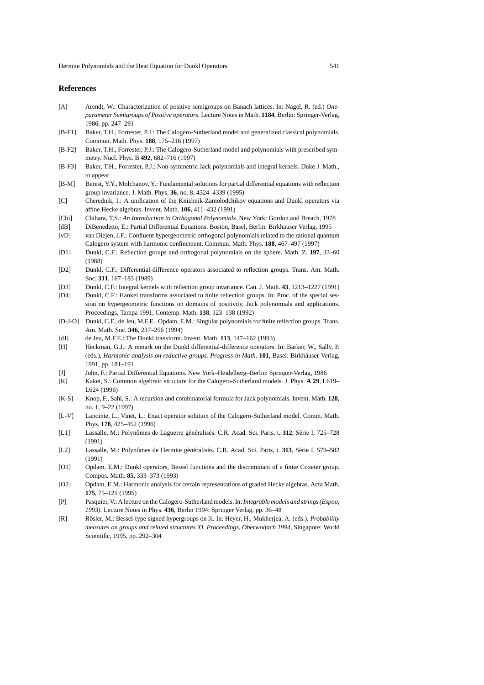### **References**

- [A] Arendt, W.: Characterization of positive semigroups on Banach lattices. In: Nagel, R. (ed.) *Oneparameter Semigroups of Positive operators*. Lecture Notes in Math. **1184**, Berlin: Springer-Verlag, 1986, pp. 247–291
- [B-F1] Baker, T.H., Forrester, P.J.: The Calogero-Sutherland model and generalized classical polynomials. Commun. Math. Phys. **188**, 175–216 (1997)
- [B-F2] Baker, T.H., Forrester, P.J.: The Calogero-Sutherland model and polynomials with prescribed symmetry. Nucl. Phys. B **492**, 682–716 (1997)
- [B-F3] Baker, T.H., Forrester, P.J.: Non-symmetric Jack polynomials and integral kernels. Duke J. Math., to appear
- [B-M] Berest, Y.Y., Molchanov, Y.: Fundamental solutions for partial differential equations with reflection group invariance. J. Math. Phys. **36**, no. 8, 4324–4339 (1995)
- [C] Cherednik, I.: A unification of the Knizhnik-Zamolodchikov equations and Dunkl operators via affine Hecke algebras. Invent. Math. **106**, 411–432 (1991)
- [Chi] Chihara, T.S.: *An Introduction to Orthogonal Polynomials*. New York: Gordon and Breach, 1978
- [dB] DiBenedetto, E.: Partial Differential Equations. Boston, Basel, Berlin: Birkhauser Verlag, 1995 ¨
- [vD] van Diejen, J.F.: Confluent hypergeometric orthogonal polynomials related to the rational quantum Calogero system with harmonic confinement. Commun. Math. Phys. **188**, 467–497 (1997)
- [D1] Dunkl, C.F.: Reflection groups and orthogonal polynomials on the sphere. Math. Z. **197**, 33–60 (1988)
- [D2] Dunkl, C.F.: Differential-difference operators associated to reflection groups. Trans. Am. Math. Soc. **311**, 167–183 (1989)
- [D3] Dunkl, C.F.: Integral kernels with reflection group invariance. Can. J. Math. **43**, 1213–1227 (1991)
- [D4] Dunkl, C.F.: Hankel transforms associated to finite reflection groups. In: Proc. of the special session on hypergeometric functions on domains of positivity, Jack polynomials and applications. Proceedings, Tampa 1991, Contemp. Math. **138**, 123–138 (1992)
- [D-J-O] Dunkl, C.F., de Jeu, M.F.E., Opdam, E.M.: Singular polynomials for finite reflection groups. Trans. Am. Math. Soc. **346**, 237–256 (1994)
- [dJ] de Jeu, M.F.E.: The Dunkl transform. Invent. Math. **113**, 147–162 (1993)
- [H] Heckman, G.J.: A remark on the Dunkl differential-difference operators. In: Barker, W., Sally, P. (eds.), *Harmonic analysis on reductive groups. Progress in Math.* 101, Basel: Birkhäuser Verlag, 1991, pp. 181–191
- [J] John, F.: Partial Differential Equations. New York–Heidelberg–Berlin: Springer-Verlag, 1986
- [K] Kakei, S.: Common algebraic structure for the Calogero-Sutherland models. J. Phys. **A 29**, L619– L624 (1996)
- [K-S] Knop, F., Sahi, S.: A recursion and combinatorial formula for Jack polynomials. Invent. Math. **128**, no. 1, 9–22 (1997)
- [L-V] Lapointe, L., Vinet, L.: Exact operator solution of the Calogero-Sutherland model. Comm. Math. Phys. **178**, 425–452 (1996)
- [L1] Lassalle, M.: Polynômes de Laguerre généralisés. C.R. Acad. Sci. Paris, t. 312, Série I, 725–728 (1991)
- [L2] Lassalle, M.: Polynômes de Hermite généralisés. C.R. Acad. Sci. Paris, t. 313, Série I, 579–582 (1991)
- [O1] Opdam, E.M.: Dunkl operators, Bessel functions and the discriminant of a finite Coxeter group. Compos. Math. **85**, 333–373 (1993)
- [O2] Opdam, E.M.: Harmonic analysis for certain representations of graded Hecke algebras. Acta Math. **175**, 75–121 (1995)
- [P] Pasquier, V.: A lecture on the Calogero-Sutherland models. In:*Integrable models and strings (Espoo, 1993)*. Lecture Notes in Phys. **436**, Berlin 1994: Springer Verlag, pp. 36–48
- [R] Rösler, M.: Bessel-type signed hypergroups on  $\mathbb R$ . In: Heyer, H., Mukherjea, A. (eds.), *Probability measures on groups and related structures XI. Proceedings, Oberwolfach 1994*, Singapore: World Scientific, 1995, pp. 292–304